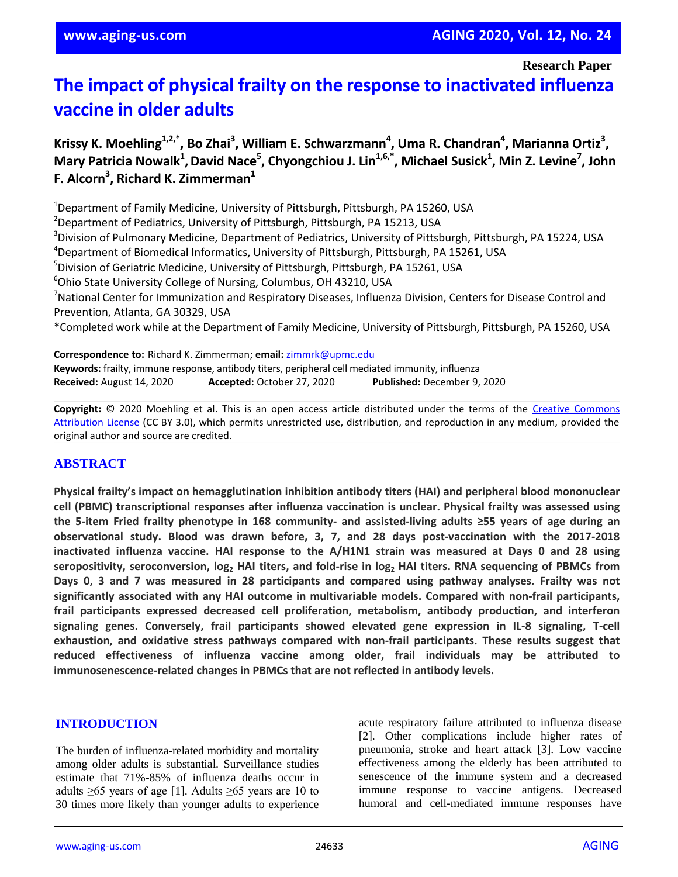**Research Paper**

# **The impact of physical frailty on the response to inactivated influenza vaccine in older adults**

Krissy K. Moehling<sup>1,2,\*</sup>, Bo Zhai<sup>3</sup>, William E. Schwarzmann<sup>4</sup>, Uma R. Chandran<sup>4</sup>, Marianna Ortiz<sup>3</sup>,  $M$ ary Patricia Nowalk<sup>1</sup>, David Nace<sup>5</sup>, Chyongchiou J. Lin<sup>1,6,\*</sup>, Michael Susick<sup>1</sup>, Min Z. Levine<sup>7</sup>, John **F. Alcorn<sup>3</sup> , Richard K. Zimmerman<sup>1</sup>**

<sup>1</sup>Department of Family Medicine, University of Pittsburgh, Pittsburgh, PA 15260, USA <sup>2</sup>Department of Pediatrics, University of Pittsburgh, Pittsburgh, PA 15213, USA <sup>3</sup>Division of Pulmonary Medicine, Department of Pediatrics, University of Pittsburgh, Pittsburgh, PA 15224, USA <sup>4</sup>Department of Biomedical Informatics, University of Pittsburgh, Pittsburgh, PA 15261, USA <sup>5</sup>Division of Geriatric Medicine, University of Pittsburgh, Pittsburgh, PA 15261, USA <sup>6</sup>Ohio State University College of Nursing, Columbus, OH 43210, USA <sup>7</sup>National Center for Immunization and Respiratory Diseases, Influenza Division, Centers for Disease Control and Prevention, Atlanta, GA 30329, USA \*Completed work while at the Department of Family Medicine, University of Pittsburgh, Pittsburgh, PA 15260, USA **Correspondence to:** Richard K. Zimmerman; **email:** zimmrk@upmc.edu

**Keywords:** frailty, immune response, antibody titers, peripheral cell mediated immunity, influenza **Received:** August 14, 2020 **Accepted:** October 27, 2020 **Published:** December 9, 2020

**Copyright:** © 2020 Moehling et al. This is an open access article distributed under the terms of the Creative Commons Attribution License (CC BY 3.0), which permits unrestricted use, distribution, and reproduction in any medium, provided the original author and source are credited.

# **ABSTRACT**

**Physical frailty's impact on hemagglutination inhibition antibody titers (HAI) and peripheral blood mononuclear cell (PBMC) transcriptional responses after influenza vaccination is unclear. Physical frailty was assessed using** the 5-item Fried frailty phenotype in 168 community- and assisted-living adults ≥55 years of age during an **observational study. Blood was drawn before, 3, 7, and 28 days post-vaccination with the 2017-2018 inactivated influenza vaccine. HAI response to the A/H1N1 strain was measured at Days 0 and 28 using** seropositivity, seroconversion,  $log_2$  HAI titers, and fold-rise in  $log_2$  HAI titers. RNA sequencing of PBMCs from Days 0, 3 and 7 was measured in 28 participants and compared using pathway analyses. Frailty was not **significantly associated with any HAI outcome in multivariable models. Compared with non-frail participants, frail participants expressed decreased cell proliferation, metabolism, antibody production, and interferon signaling genes. Conversely, frail participants showed elevated gene expression in IL-8 signaling, T-cell exhaustion, and oxidative stress pathways compared with non-frail participants. These results suggest that reduced effectiveness of influenza vaccine among older, frail individuals may be attributed to immunosenescence-related changes in PBMCs that are not reflected in antibody levels.**

#### **INTRODUCTION**

The burden of influenza-related morbidity and mortality among older adults is substantial. Surveillance studies estimate that 71%-85% of influenza deaths occur in adults  $\geq 65$  years of age [1]. Adults  $\geq 65$  years are 10 to 30 times more likely than younger adults to experience acute respiratory failure attributed to influenza disease [2]. Other complications include higher rates of pneumonia, stroke and heart attack [3]. Low vaccine effectiveness among the elderly has been attributed to senescence of the immune system and a decreased immune response to vaccine antigens. Decreased humoral and cell-mediated immune responses have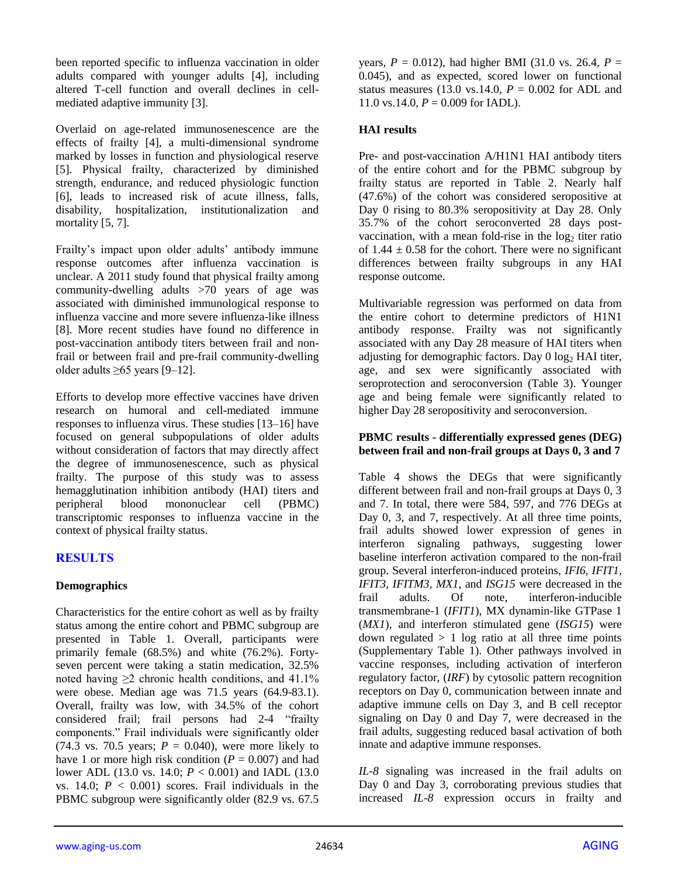been reported specific to influenza vaccination in older adults compared with younger adults [4], including altered T-cell function and overall declines in cellmediated adaptive immunity [3].

Overlaid on age-related immunosenescence are the effects of frailty [4], a multi-dimensional syndrome marked by losses in function and physiological reserve [5]. Physical frailty, characterized by diminished strength, endurance, and reduced physiologic function [6], leads to increased risk of acute illness, falls, disability, hospitalization, institutionalization and mortality [5, 7].

Frailty's impact upon older adults' antibody immune response outcomes after influenza vaccination is unclear. A 2011 study found that physical frailty among community-dwelling adults >70 years of age was associated with diminished immunological response to influenza vaccine and more severe influenza-like illness [8]. More recent studies have found no difference in post-vaccination antibody titers between frail and nonfrail or between frail and pre-frail community-dwelling older adults  $\geq 65$  years [9–12].

Efforts to develop more effective vaccines have driven research on humoral and cell-mediated immune responses to influenza virus. These studies [13–16] have focused on general subpopulations of older adults without consideration of factors that may directly affect the degree of immunosenescence, such as physical frailty. The purpose of this study was to assess hemagglutination inhibition antibody (HAI) titers and peripheral blood mononuclear cell (PBMC) transcriptomic responses to influenza vaccine in the context of physical frailty status.

# **RESULTS**

#### **Demographics**

Characteristics for the entire cohort as well as by frailty status among the entire cohort and PBMC subgroup are presented in Table 1. Overall, participants were primarily female (68.5%) and white (76.2%). Fortyseven percent were taking a statin medication, 32.5% noted having  $\geq 2$  chronic health conditions, and 41.1% were obese. Median age was 71.5 years (64.9-83.1). Overall, frailty was low, with 34.5% of the cohort considered frail; frail persons had 2-4 "frailty components." Frail individuals were significantly older (74.3 vs. 70.5 years;  $P = 0.040$ ), were more likely to have 1 or more high risk condition  $(P = 0.007)$  and had lower ADL (13.0 vs. 14.0; *P* < 0.001) and IADL (13.0 vs. 14.0;  $P < 0.001$ ) scores. Frail individuals in the PBMC subgroup were significantly older (82.9 vs. 67.5

years,  $P = 0.012$ ), had higher BMI (31.0 vs. 26.4,  $P =$ 0.045), and as expected, scored lower on functional status measures (13.0 vs.14.0,  $P = 0.002$  for ADL and 11.0 vs.14.0,  $P = 0.009$  for IADL).

### **HAI results**

Pre- and post-vaccination A/H1N1 HAI antibody titers of the entire cohort and for the PBMC subgroup by frailty status are reported in Table 2. Nearly half (47.6%) of the cohort was considered seropositive at Day 0 rising to 80.3% seropositivity at Day 28. Only 35.7% of the cohort seroconverted 28 days postvaccination, with a mean fold-rise in the  $log<sub>2</sub>$  titer ratio of  $1.44 \pm 0.58$  for the cohort. There were no significant differences between frailty subgroups in any HAI response outcome.

Multivariable regression was performed on data from the entire cohort to determine predictors of H1N1 antibody response. Frailty was not significantly associated with any Day 28 measure of HAI titers when adjusting for demographic factors. Day  $0 \log_2 HAI$  titer, age, and sex were significantly associated with seroprotection and seroconversion (Table 3). Younger age and being female were significantly related to higher Day 28 seropositivity and seroconversion.

#### **PBMC results - differentially expressed genes (DEG) between frail and non-frail groups at Days 0, 3 and 7**

Table 4 shows the DEGs that were significantly different between frail and non-frail groups at Days 0, 3 and 7. In total, there were 584, 597, and 776 DEGs at Day 0, 3, and 7, respectively. At all three time points, frail adults showed lower expression of genes in interferon signaling pathways, suggesting lower baseline interferon activation compared to the non-frail group. Several interferon-induced proteins, *IFI6, IFIT1, IFIT3, IFITM3, MX1*, and *ISG15* were decreased in the frail adults. Of note, interferon-inducible transmembrane-1 (*IFIT1*), MX dynamin-like GTPase 1 (*MX1*), and interferon stimulated gene (*ISG15*) were down regulated  $> 1$  log ratio at all three time points (Supplementary Table 1). Other pathways involved in vaccine responses, including activation of interferon regulatory factor, (*IRF*) by cytosolic pattern recognition receptors on Day 0, communication between innate and adaptive immune cells on Day 3, and B cell receptor signaling on Day 0 and Day 7, were decreased in the frail adults, suggesting reduced basal activation of both innate and adaptive immune responses.

*IL-8* signaling was increased in the frail adults on Day 0 and Day 3, corroborating previous studies that increased *IL-8* expression occurs in frailty and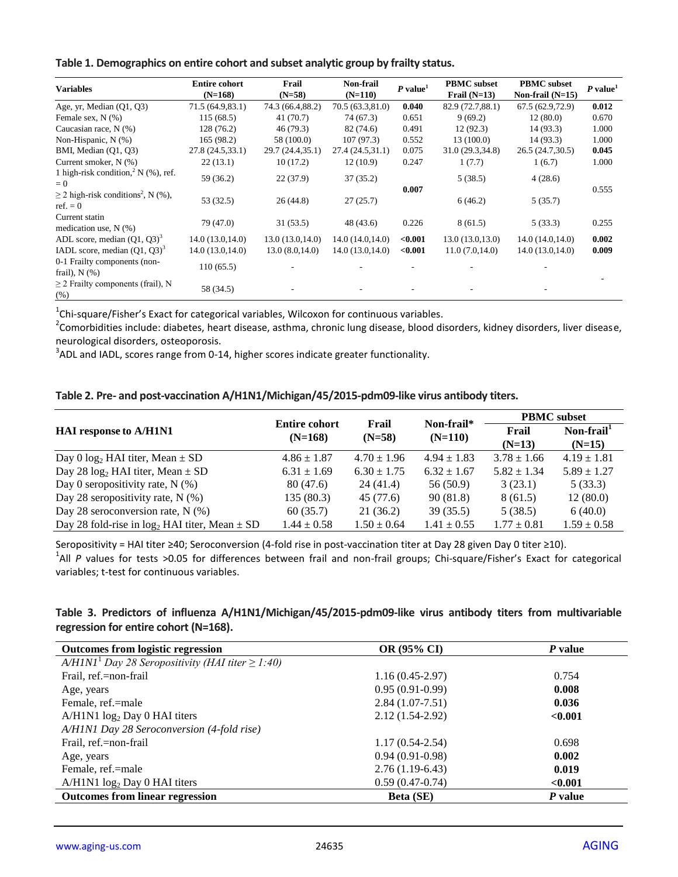| Table 1. Demographics on entire cohort and subset analytic group by frailty status. |  |
|-------------------------------------------------------------------------------------|--|
|-------------------------------------------------------------------------------------|--|

| <b>Variables</b>                                                  | <b>Entire cohort</b><br>$(N=168)$ | Frail<br>$(N=58)$ | <b>Non-frail</b><br>$(N=110)$ | $P$ value <sup>1</sup> | <b>PBMC</b> subset<br>Frail $(N=13)$ | <b>PBMC</b> subset<br>Non-frail $(N=15)$ | $P$ value <sup>1</sup> |
|-------------------------------------------------------------------|-----------------------------------|-------------------|-------------------------------|------------------------|--------------------------------------|------------------------------------------|------------------------|
| Age, yr, Median (Q1, Q3)                                          | 71.5(64.9,83.1)                   | 74.3 (66.4,88.2)  | 70.5(63.3,81.0)               | 0.040                  | 82.9 (72.7,88.1)                     | 67.5(62.9,72.9)                          | 0.012                  |
| Female sex, $N(\%)$                                               | 115(68.5)                         | 41(70.7)          | 74 (67.3)                     | 0.651                  | 9(69.2)                              | 12(80.0)                                 | 0.670                  |
| Caucasian race, N (%)                                             | 128 (76.2)                        | 46 (79.3)         | 82 (74.6)                     | 0.491                  | 12(92.3)                             | 14(93.3)                                 | 1.000                  |
| Non-Hispanic, N (%)                                               | 165 (98.2)                        | 58 (100.0)        | 107(97.3)                     | 0.552                  | 13 (100.0)                           | 14(93.3)                                 | 1.000                  |
| BMI, Median (Q1, Q3)                                              | 27.8 (24.5,33.1)                  | 29.7 (24.4,35.1)  | 27.4 (24.5,31.1)              | 0.075                  | 31.0 (29.3,34.8)                     | 26.5 (24.7,30.5)                         | 0.045                  |
| Current smoker, N (%)                                             | 22(13.1)                          | 10(17.2)          | 12(10.9)                      | 0.247                  | 1(7.7)                               | 1(6.7)                                   | 1.000                  |
| 1 high-risk condition, $^2$ N (%), ref.<br>$= 0$                  | 59 (36.2)                         | 22(37.9)          | 37(35.2)                      |                        | 5(38.5)                              | 4(28.6)                                  |                        |
| $\geq$ 2 high-risk conditions <sup>2</sup> , N (%),<br>$ref. = 0$ | 53(32.5)                          | 26(44.8)          | 27(25.7)                      | 0.007                  | 6(46.2)                              | 5(35.7)                                  | 0.555                  |
| Current statin<br>medication use, $N$ (%)                         | 79 (47.0)                         | 31(53.5)          | 48 (43.6)                     | 0.226                  | 8(61.5)                              | 5(33.3)                                  | 0.255                  |
| ADL score, median $(01, 03)^3$                                    | 14.0(13.0, 14.0)                  | 13.0(13.0, 14.0)  | 14.0(14.0, 14.0)              | < 0.001                | 13.0(13.0, 13.0)                     | 14.0(14.0, 14.0)                         | 0.002                  |
| IADL score, median $(Q1, Q3)^3$                                   | 14.0(13.0, 14.0)                  | 13.0(8.0,14.0)    | 14.0(13.0, 14.0)              | < 0.001                | 11.0(7.0,14.0)                       | 14.0(13.0, 14.0)                         | 0.009                  |
| 0-1 Frailty components (non-<br>frail), $N$ $(\%)$                | 110(65.5)                         |                   |                               |                        |                                      |                                          |                        |
| $\geq$ 2 Frailty components (frail), N<br>(%)                     | 58 (34.5)                         |                   |                               |                        |                                      |                                          |                        |

 $^{1}$ Chi-square/Fisher's Exact for categorical variables, Wilcoxon for continuous variables.

<sup>2</sup>Comorbidities include: diabetes, heart disease, asthma, chronic lung disease, blood disorders, kidney disorders, liver disease, neurological disorders, osteoporosis.

 $3$ ADL and IADL, scores range from 0-14, higher scores indicate greater functionality.

**Table 2. Pre- and post-vaccination A/H1N1/Michigan/45/2015-pdm09-like virus antibody titers.** 

|                                                      | <b>Entire cohort</b> | Frail           | Non-frail*      |                   | <b>PBMC</b> subset    |  |
|------------------------------------------------------|----------------------|-----------------|-----------------|-------------------|-----------------------|--|
| <b>HAI</b> response to A/H1N1                        | $(N=168)$            | $(N=58)$        | $(N=110)$       | Frail<br>$(N=13)$ | Non-frail<br>$(N=15)$ |  |
| Day 0 $log_2$ HAI titer, Mean $\pm$ SD               | $4.86 \pm 1.87$      | $4.70 \pm 1.96$ | $4.94 \pm 1.83$ | $3.78 \pm 1.66$   | $4.19 \pm 1.81$       |  |
| Day 28 $log_2$ HAI titer, Mean $\pm$ SD              | $6.31 \pm 1.69$      | $6.30 \pm 1.75$ | $6.32 \pm 1.67$ | $5.82 \pm 1.34$   | $5.89 \pm 1.27$       |  |
| Day 0 seropositivity rate, $N$ (%)                   | 80 (47.6)            | 24(41.4)        | 56 (50.9)       | 3(23.1)           | 5(33.3)               |  |
| Day 28 seropositivity rate, $N$ (%)                  | 135 (80.3)           | 45 (77.6)       | 90 (81.8)       | 8(61.5)           | 12(80.0)              |  |
| Day 28 seroconversion rate, $N$ (%)                  | 60(35.7)             | 21(36.2)        | 39(35.5)        | 5(38.5)           | 6(40.0)               |  |
| Day 28 fold-rise in $log_2$ HAI titer, Mean $\pm$ SD | $1.44 \pm 0.58$      | $1.50 \pm 0.64$ | $1.41 \pm 0.55$ | $1.77 \pm 0.81$   | $1.59 \pm 0.58$       |  |

Seropositivity = HAI titer ≥40; Seroconversion (4-fold rise in post-vaccination titer at Day 28 given Day 0 titer ≥10). <sup>1</sup>All P values for tests >0.05 for differences between frail and non-frail groups; Chi-square/Fisher's Exact for categorical variables; t-test for continuous variables.

### **Table 3. Predictors of influenza A/H1N1/Michigan/45/2015-pdm09-like virus antibody titers from multivariable regression for entire cohort (N=168).**

| <b>Outcomes from logistic regression</b>                 | <b>OR (95% CI)</b>  | P value |
|----------------------------------------------------------|---------------------|---------|
| $A/HINI1$ Day 28 Seropositivity (HAI titer $\geq 1:40$ ) |                     |         |
| Frail, ref.=non-frail                                    | $1.16(0.45-2.97)$   | 0.754   |
| Age, years                                               | $0.95(0.91-0.99)$   | 0.008   |
| Female, ref.=male                                        | $2.84(1.07-7.51)$   | 0.036   |
| $A/H1N1 \log_2 Day 0 HAI$ titers                         | $2.12(1.54-2.92)$   | < 0.001 |
| A/H1N1 Day 28 Seroconversion (4-fold rise)               |                     |         |
| Frail, ref.=non-frail                                    | $1.17(0.54 - 2.54)$ | 0.698   |
| Age, years                                               | $0.94(0.91-0.98)$   | 0.002   |
| Female, ref.=male                                        | $2.76(1.19-6.43)$   | 0.019   |
| $A/H1N1 \log_2 Day 0 HAI$ titers                         | $0.59(0.47-0.74)$   | < 0.001 |
| <b>Outcomes from linear regression</b>                   | <b>Beta</b> (SE)    | P value |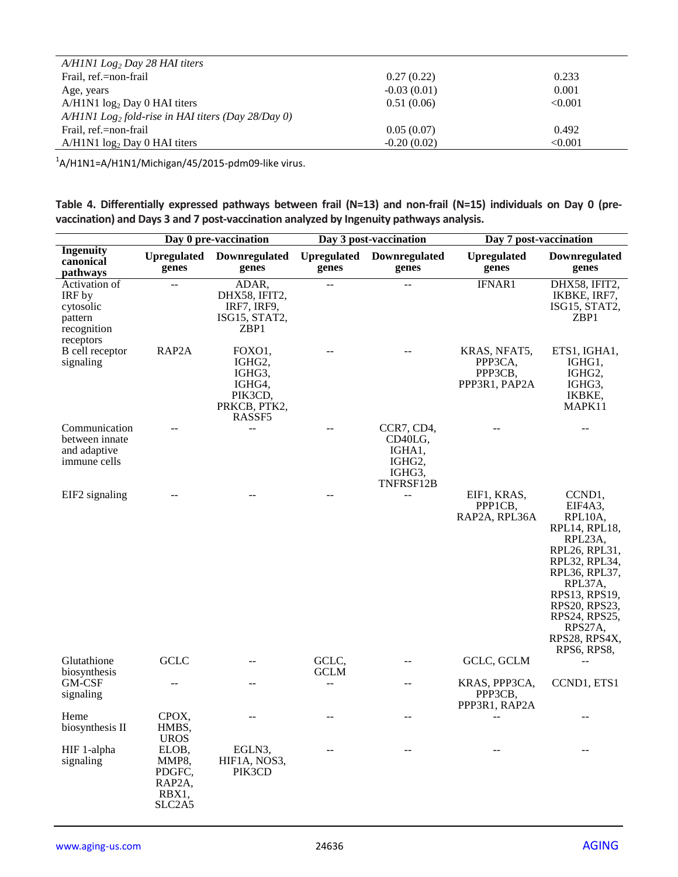| $A/HINI$ Log <sub>2</sub> Day 28 HAI titers                      |               |         |
|------------------------------------------------------------------|---------------|---------|
| Frail, ref.=non-frail                                            | 0.27(0.22)    | 0.233   |
| Age, years                                                       | $-0.03(0.01)$ | 0.001   |
| $A/H1N1 \log_2$ Day 0 HAI titers                                 | 0.51(0.06)    | < 0.001 |
| $A/HINI$ Log <sub>2</sub> fold-rise in HAI titers (Day 28/Day 0) |               |         |
| Frail, ref.=non-frail                                            | 0.05(0.07)    | 0.492   |
| $A/H1N1 \log_2$ Day 0 HAI titers                                 | $-0.20(0.02)$ | < 0.001 |

 $1$ A/H1N1=A/H1N1/Michigan/45/2015-pdm09-like virus.

**Table 4. Differentially expressed pathways between frail (N=13) and non-frail (N=15) individuals on Day 0 (prevaccination) and Days 3 and 7 post-vaccination analyzed by Ingenuity pathways analysis.**

|                                                                             |                                                       | Day 0 pre-vaccination                                                     |                             | Day 3 post-vaccination                                                                     | Day 7 post-vaccination                              |                                                                                                                                                                                                                      |
|-----------------------------------------------------------------------------|-------------------------------------------------------|---------------------------------------------------------------------------|-----------------------------|--------------------------------------------------------------------------------------------|-----------------------------------------------------|----------------------------------------------------------------------------------------------------------------------------------------------------------------------------------------------------------------------|
| <b>Ingenuity</b><br>canonical<br>pathways                                   | <b>Upregulated</b><br>genes                           | Downregulated<br>genes                                                    | <b>Upregulated</b><br>genes | Downregulated<br>genes                                                                     | <b>Upregulated</b><br>genes                         | Downregulated<br>genes                                                                                                                                                                                               |
| Activation of<br>IRF by<br>cytosolic<br>pattern<br>recognition<br>receptors | $\overline{\phantom{a}}$                              | ADAR,<br>DHX58, IFIT2,<br>IRF7, IRF9,<br>ISG15, STAT2,<br>ZBP1            |                             |                                                                                            | IFNAR1                                              | DHX58, IFIT2,<br>IKBKE, IRF7,<br>ISG15, STAT2,<br>ZBP1                                                                                                                                                               |
| B cell receptor<br>signaling                                                | RAP2A                                                 | FOXO1,<br>IGHG2,<br>IGHG3,<br>IGHG4,<br>PIK3CD,<br>PRKCB, PTK2,<br>RASSF5 |                             |                                                                                            | KRAS, NFAT5,<br>PPP3CA,<br>PPP3CB,<br>PPP3R1, PAP2A | ETS1, IGHA1,<br>IGHG1,<br>IGHG2,<br>IGHG3,<br>IKBKE,<br>MAPK11                                                                                                                                                       |
| Communication<br>between innate<br>and adaptive<br>immune cells             |                                                       | $-$                                                                       |                             | CCR7, CD4,<br>CD <sub>40</sub> LG,<br>IGHA <sub>1</sub> ,<br>IGHG2,<br>IGHG3,<br>TNFRSF12B |                                                     |                                                                                                                                                                                                                      |
| EIF2 signaling                                                              |                                                       |                                                                           |                             | --                                                                                         | EIF1, KRAS,<br>PPP1CB,<br>RAP2A, RPL36A             | CCND1,<br>EIF4A3,<br>RPL10A,<br>RPL14, RPL18,<br>RPL23A,<br>RPL26, RPL31,<br>RPL32, RPL34,<br>RPL36, RPL37,<br>RPL37A,<br>RPS13, RPS19,<br>RPS20, RPS23,<br>RPS24, RPS25,<br>RPS27A,<br>RPS28, RPS4X,<br>RPS6, RPS8, |
| Glutathione<br>biosynthesis                                                 | <b>GCLC</b>                                           |                                                                           | GCLC,<br><b>GCLM</b>        |                                                                                            | GCLC, GCLM                                          | $-$                                                                                                                                                                                                                  |
| GM-CSF<br>signaling                                                         |                                                       |                                                                           | $-$                         | $-$                                                                                        | KRAS, PPP3CA,<br>PPP3CB,<br>PPP3R1, RAP2A           | CCND1, ETS1                                                                                                                                                                                                          |
| Heme<br>biosynthesis II                                                     | CPOX,<br>HMBS,<br><b>UROS</b>                         |                                                                           |                             |                                                                                            | --                                                  |                                                                                                                                                                                                                      |
| HIF 1-alpha<br>signaling                                                    | ELOB,<br>MMP8,<br>PDGFC,<br>RAP2A,<br>RBX1,<br>SLC2A5 | EGLN3,<br>HIF1A, NOS3,<br>PIK3CD                                          |                             | $-$                                                                                        | $-$                                                 |                                                                                                                                                                                                                      |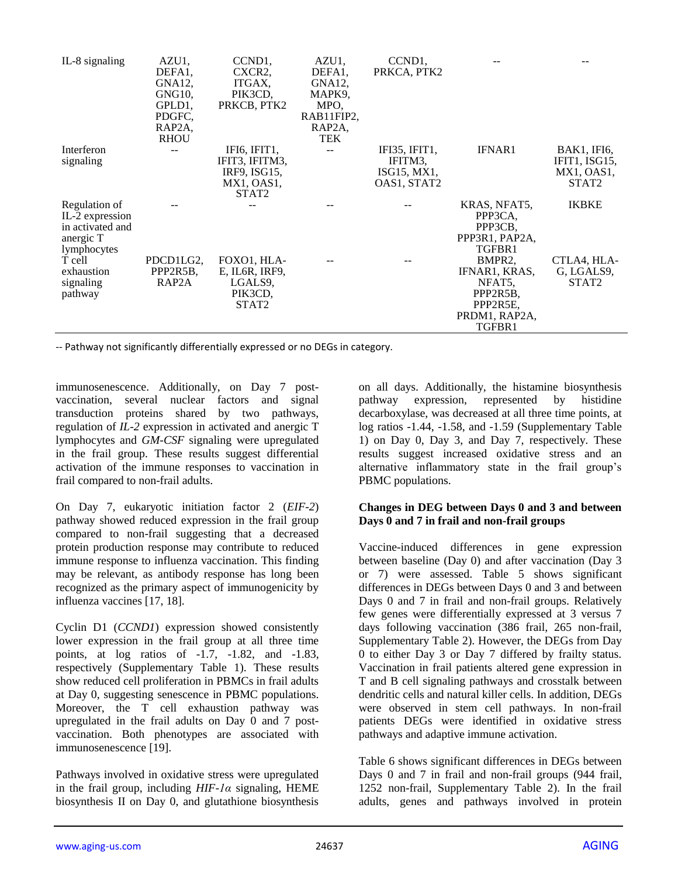| IL-8 signaling   | AZU1,               | CCND <sub>1</sub> | AZU1,               | CCND <sub>1</sub> |                |                   |
|------------------|---------------------|-------------------|---------------------|-------------------|----------------|-------------------|
|                  | DEFA1.              | CXCR2,            | DEFA1.              | PRKCA, PTK2       |                |                   |
|                  | GNA12.              | ITGAX,            | GNA12,              |                   |                |                   |
|                  | GNG10,              | PIK3CD,           | MAPK9,              |                   |                |                   |
|                  | GPLD1.              | PRKCB, PTK2       | MPO,                |                   |                |                   |
|                  | PDGFC,              |                   | RAB11FIP2,          |                   |                |                   |
|                  | RAP <sub>2</sub> A, |                   | RAP <sub>2</sub> A, |                   |                |                   |
|                  | <b>RHOU</b>         |                   | <b>TEK</b>          |                   |                |                   |
| Interferon       |                     | IFI6, IFIT1,      |                     | IFI35, IFIT1,     | <b>IFNAR1</b>  | BAK1, IFI6,       |
| signaling        |                     | IFIT3, IFITM3,    |                     | IFITM3.           |                | IFIT1, ISG15,     |
|                  |                     | IRF9, ISG15,      |                     | ISG15, MX1,       |                | MX1, OAS1,        |
|                  |                     | MX1, OAS1,        |                     | OAS1, STAT2       |                | STAT <sub>2</sub> |
|                  |                     | STAT <sub>2</sub> |                     |                   |                |                   |
| Regulation of    |                     |                   |                     |                   | KRAS, NFAT5.   | <b>IKBKE</b>      |
| IL-2 expression  |                     |                   |                     |                   | PPP3CA,        |                   |
| in activated and |                     |                   |                     |                   | PPP3CB,        |                   |
| anergic T        |                     |                   |                     |                   | PPP3R1, PAP2A, |                   |
| lymphocytes      |                     |                   |                     |                   | TGFBR1         |                   |
| T cell           | PDCD1LG2,           | FOXO1, HLA-       |                     |                   | BMPR2,         | CTLA4, HLA-       |
| exhaustion       | PPP2R5B,            | E, IL6R, IRF9,    |                     |                   | IFNAR1, KRAS,  | G. LGALS9.        |
| signaling        | RAP2A               | LGALS9.           |                     |                   | NFAT5.         | STAT <sub>2</sub> |
| pathway          |                     | PIK3CD,           |                     |                   | PPP2R5B,       |                   |
|                  |                     | STAT2             |                     |                   | PPP2R5E,       |                   |
|                  |                     |                   |                     |                   | PRDM1, RAP2A,  |                   |
|                  |                     |                   |                     |                   | TGFBR1         |                   |

-- Pathway not significantly differentially expressed or no DEGs in category.

immunosenescence. Additionally, on Day 7 postvaccination, several nuclear factors and signal transduction proteins shared by two pathways, regulation of *IL-2* expression in activated and anergic T lymphocytes and *GM-CSF* signaling were upregulated in the frail group. These results suggest differential activation of the immune responses to vaccination in frail compared to non-frail adults.

On Day 7, eukaryotic initiation factor 2 (*EIF-2*) pathway showed reduced expression in the frail group compared to non-frail suggesting that a decreased protein production response may contribute to reduced immune response to influenza vaccination. This finding may be relevant, as antibody response has long been recognized as the primary aspect of immunogenicity by influenza vaccines [17, 18].

Cyclin D1 (*CCND1*) expression showed consistently lower expression in the frail group at all three time points, at log ratios of -1.7, -1.82, and -1.83, respectively (Supplementary Table 1). These results show reduced cell proliferation in PBMCs in frail adults at Day 0, suggesting senescence in PBMC populations. Moreover, the T cell exhaustion pathway was upregulated in the frail adults on Day 0 and 7 postvaccination. Both phenotypes are associated with immunosenescence [19].

Pathways involved in oxidative stress were upregulated in the frail group, including *HIF-1α* signaling, HEME biosynthesis II on Day 0, and glutathione biosynthesis

on all days. Additionally, the histamine biosynthesis pathway expression, represented by histidine decarboxylase, was decreased at all three time points, at log ratios -1.44, -1.58, and -1.59 (Supplementary Table 1) on Day 0, Day 3, and Day 7, respectively. These results suggest increased oxidative stress and an alternative inflammatory state in the frail group's PBMC populations.

#### **Changes in DEG between Days 0 and 3 and between Days 0 and 7 in frail and non-frail groups**

Vaccine-induced differences in gene expression between baseline (Day 0) and after vaccination (Day 3 or 7) were assessed. Table 5 shows significant differences in DEGs between Days 0 and 3 and between Days 0 and 7 in frail and non-frail groups. Relatively few genes were differentially expressed at 3 versus 7 days following vaccination (386 frail, 265 non-frail, Supplementary Table 2). However, the DEGs from Day 0 to either Day 3 or Day 7 differed by frailty status. Vaccination in frail patients altered gene expression in T and B cell signaling pathways and crosstalk between dendritic cells and natural killer cells. In addition, DEGs were observed in stem cell pathways. In non-frail patients DEGs were identified in oxidative stress pathways and adaptive immune activation.

Table 6 shows significant differences in DEGs between Days 0 and 7 in frail and non-frail groups (944 frail, 1252 non-frail, Supplementary Table 2). In the frail adults, genes and pathways involved in protein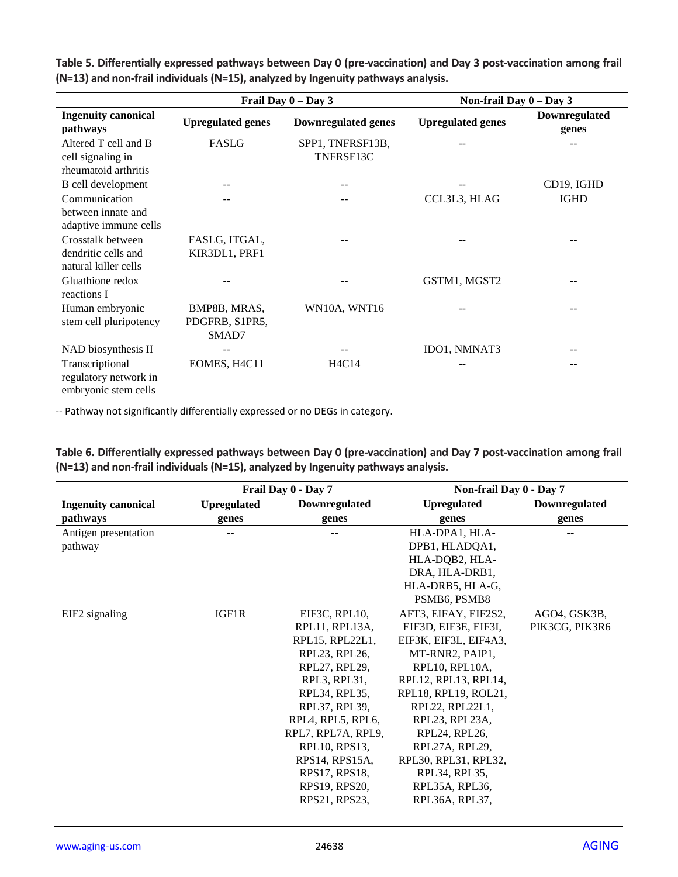|                                                                   |                                         | Frail Day $0 - Day 3$         | Non-frail Day $0 - Day 3$ |                        |
|-------------------------------------------------------------------|-----------------------------------------|-------------------------------|---------------------------|------------------------|
| <b>Ingenuity canonical</b><br>pathways                            | <b>Upregulated genes</b>                | <b>Downregulated genes</b>    | <b>Upregulated genes</b>  | Downregulated<br>genes |
| Altered T cell and B<br>cell signaling in<br>rheumatoid arthritis | FASLG                                   | SPP1, TNFRSF13B,<br>TNFRSF13C |                           |                        |
| B cell development                                                |                                         |                               |                           | CD19, IGHD             |
| Communication<br>between innate and<br>adaptive immune cells      | $-1$                                    |                               | CCL3L3, HLAG              | <b>IGHD</b>            |
| Crosstalk between<br>dendritic cells and<br>natural killer cells  | FASLG, ITGAL,<br>KIR3DL1, PRF1          |                               |                           |                        |
| Gluathione redox<br>reactions I                                   |                                         |                               | GSTM1, MGST2              |                        |
| Human embryonic<br>stem cell pluripotency                         | BMP8B, MRAS,<br>PDGFRB, S1PR5,<br>SMAD7 | WN10A, WNT16                  |                           | --                     |
| NAD biosynthesis II                                               |                                         |                               | IDO1, NMNAT3              |                        |
| Transcriptional<br>regulatory network in<br>embryonic stem cells  | EOMES, H4C11                            | H4C14                         |                           |                        |

**Table 5. Differentially expressed pathways between Day 0 (pre-vaccination) and Day 3 post-vaccination among frail (N=13) and non-frail individuals (N=15), analyzed by Ingenuity pathways analysis.**

-- Pathway not significantly differentially expressed or no DEGs in category.

**Table 6. Differentially expressed pathways between Day 0 (pre-vaccination) and Day 7 post-vaccination among frail (N=13) and non-frail individuals (N=15), analyzed by Ingenuity pathways analysis.**

|                            |                    | Frail Day 0 - Day 7 | Non-frail Day 0 - Day 7 |                |
|----------------------------|--------------------|---------------------|-------------------------|----------------|
| <b>Ingenuity canonical</b> | <b>Upregulated</b> | Downregulated       | <b>Upregulated</b>      | Downregulated  |
| pathways                   | genes              | genes               | genes                   | genes          |
| Antigen presentation       |                    |                     | HLA-DPA1, HLA-          |                |
| pathway                    |                    |                     | DPB1, HLADQA1,          |                |
|                            |                    |                     | HLA-DQB2, HLA-          |                |
|                            |                    |                     | DRA, HLA-DRB1,          |                |
|                            |                    |                     | HLA-DRB5, HLA-G,        |                |
|                            |                    |                     | PSMB6, PSMB8            |                |
| EIF2 signaling             | IGF1R              | EIF3C, RPL10,       | AFT3, EIFAY, EIF2S2,    | AGO4, GSK3B,   |
|                            |                    | RPL11, RPL13A,      | EIF3D, EIF3E, EIF3I,    | PIK3CG, PIK3R6 |
|                            |                    | RPL15, RPL22L1,     | EIF3K, EIF3L, EIF4A3,   |                |
|                            |                    | RPL23, RPL26,       | MT-RNR2, PAIP1,         |                |
|                            |                    | RPL27, RPL29,       | RPL10, RPL10A,          |                |
|                            |                    | RPL3, RPL31,        | RPL12, RPL13, RPL14,    |                |
|                            |                    | RPL34, RPL35,       | RPL18, RPL19, ROL21,    |                |
|                            |                    | RPL37, RPL39,       | RPL22, RPL22L1,         |                |
|                            |                    | RPL4, RPL5, RPL6,   | RPL23, RPL23A,          |                |
|                            |                    | RPL7, RPL7A, RPL9,  | RPL24, RPL26,           |                |
|                            |                    | RPL10, RPS13,       | RPL27A, RPL29,          |                |
|                            |                    | RPS14, RPS15A,      | RPL30, RPL31, RPL32,    |                |
|                            |                    | RPS17, RPS18,       | RPL34, RPL35,           |                |
|                            |                    | RPS19, RPS20,       | RPL35A, RPL36,          |                |
|                            |                    | RPS21, RPS23,       | RPL36A, RPL37,          |                |
|                            |                    |                     |                         |                |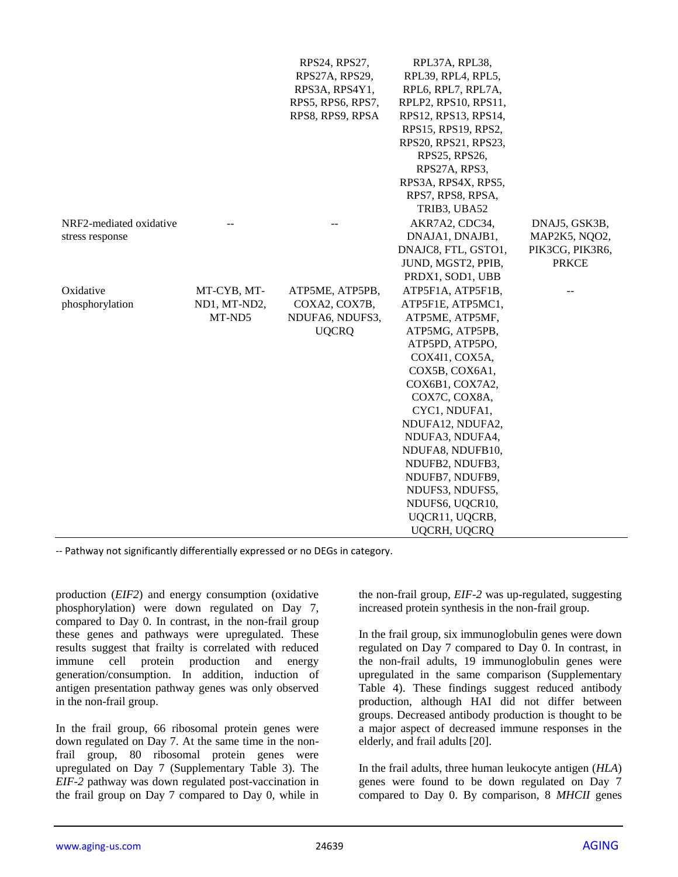|                         |              | RPS24, RPS27,     | RPL37A, RPL38,       |                 |
|-------------------------|--------------|-------------------|----------------------|-----------------|
|                         |              | RPS27A, RPS29,    | RPL39, RPL4, RPL5,   |                 |
|                         |              | RPS3A, RPS4Y1,    | RPL6, RPL7, RPL7A,   |                 |
|                         |              | RPS5, RPS6, RPS7, | RPLP2, RPS10, RPS11, |                 |
|                         |              | RPS8, RPS9, RPSA  | RPS12, RPS13, RPS14, |                 |
|                         |              |                   | RPS15, RPS19, RPS2,  |                 |
|                         |              |                   | RPS20, RPS21, RPS23, |                 |
|                         |              |                   | RPS25, RPS26,        |                 |
|                         |              |                   | RPS27A, RPS3,        |                 |
|                         |              |                   | RPS3A, RPS4X, RPS5,  |                 |
|                         |              |                   | RPS7, RPS8, RPSA,    |                 |
|                         |              |                   | TRIB3, UBA52         |                 |
| NRF2-mediated oxidative |              |                   | AKR7A2, CDC34,       | DNAJ5, GSK3B,   |
| stress response         |              |                   | DNAJA1, DNAJB1,      | MAP2K5, NQO2,   |
|                         |              |                   | DNAJC8, FTL, GSTO1,  | PIK3CG, PIK3R6, |
|                         |              |                   | JUND, MGST2, PPIB,   | <b>PRKCE</b>    |
|                         |              |                   | PRDX1, SOD1, UBB     |                 |
| Oxidative               | MT-CYB, MT-  | ATP5ME, ATP5PB,   | ATP5F1A, ATP5F1B,    |                 |
| phosphorylation         | ND1, MT-ND2, | COXA2, COX7B,     | ATP5F1E, ATP5MC1,    |                 |
|                         | MT-ND5       | NDUFA6, NDUFS3,   | ATP5ME, ATP5MF,      |                 |
|                         |              | <b>UQCRQ</b>      | ATP5MG, ATP5PB,      |                 |
|                         |              |                   | ATP5PD, ATP5PO,      |                 |
|                         |              |                   | COX4I1, COX5A,       |                 |
|                         |              |                   | COX5B, COX6A1,       |                 |
|                         |              |                   | COX6B1, COX7A2,      |                 |
|                         |              |                   | COX7C, COX8A,        |                 |
|                         |              |                   | CYC1, NDUFA1,        |                 |
|                         |              |                   | NDUFA12, NDUFA2,     |                 |
|                         |              |                   | NDUFA3, NDUFA4,      |                 |
|                         |              |                   | NDUFA8, NDUFB10,     |                 |
|                         |              |                   | NDUFB2, NDUFB3,      |                 |
|                         |              |                   | NDUFB7, NDUFB9,      |                 |
|                         |              |                   | NDUFS3, NDUFS5,      |                 |
|                         |              |                   | NDUFS6, UQCR10,      |                 |
|                         |              |                   | UQCR11, UQCRB,       |                 |
|                         |              |                   | UQCRH, UQCRQ         |                 |

-- Pathway not significantly differentially expressed or no DEGs in category.

production (*EIF2*) and energy consumption (oxidative phosphorylation) were down regulated on Day 7, compared to Day 0. In contrast, in the non-frail group these genes and pathways were upregulated. These results suggest that frailty is correlated with reduced immune cell protein production and energy generation/consumption. In addition, induction of antigen presentation pathway genes was only observed in the non-frail group.

In the frail group, 66 ribosomal protein genes were down regulated on Day 7. At the same time in the nonfrail group, 80 ribosomal protein genes were upregulated on Day 7 (Supplementary Table 3). The *EIF-2* pathway was down regulated post-vaccination in the frail group on Day 7 compared to Day 0, while in the non-frail group, *EIF-2* was up-regulated, suggesting increased protein synthesis in the non-frail group.

In the frail group, six immunoglobulin genes were down regulated on Day 7 compared to Day 0. In contrast, in the non-frail adults, 19 immunoglobulin genes were upregulated in the same comparison (Supplementary Table 4). These findings suggest reduced antibody production, although HAI did not differ between groups. Decreased antibody production is thought to be a major aspect of decreased immune responses in the elderly, and frail adults [20].

In the frail adults, three human leukocyte antigen (*HLA*) genes were found to be down regulated on Day 7 compared to Day 0. By comparison, 8 *MHCII* genes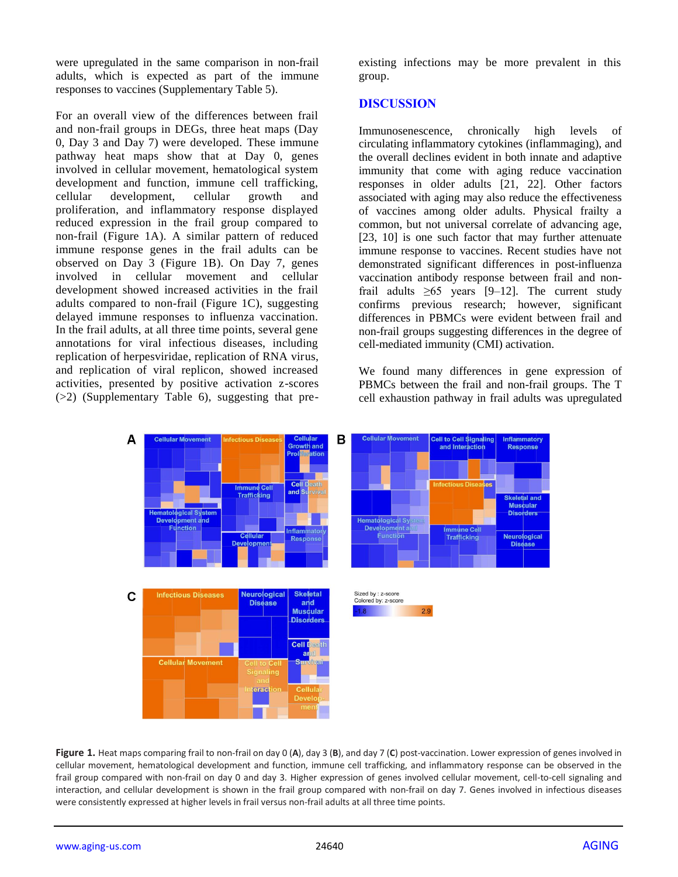were upregulated in the same comparison in non-frail adults, which is expected as part of the immune responses to vaccines (Supplementary Table 5).

For an overall view of the differences between frail and non-frail groups in DEGs, three heat maps (Day 0, Day 3 and Day 7) were developed. These immune pathway heat maps show that at Day 0, genes involved in cellular movement, hematological system development and function, immune cell trafficking, cellular development, cellular growth and proliferation, and inflammatory response displayed reduced expression in the frail group compared to non-frail (Figure 1A). A similar pattern of reduced immune response genes in the frail adults can be observed on Day 3 (Figure 1B). On Day 7, genes involved in cellular movement and cellular development showed increased activities in the frail adults compared to non-frail (Figure 1C), suggesting delayed immune responses to influenza vaccination. In the frail adults, at all three time points, several gene annotations for viral infectious diseases, including replication of herpesviridae, replication of RNA virus, and replication of viral replicon, showed increased activities, presented by positive activation z-scores (>2) (Supplementary Table 6), suggesting that preexisting infections may be more prevalent in this group.

#### **DISCUSSION**

Immunosenescence, chronically high levels of circulating inflammatory cytokines (inflammaging), and the overall declines evident in both innate and adaptive immunity that come with aging reduce vaccination responses in older adults [21, 22]. Other factors associated with aging may also reduce the effectiveness of vaccines among older adults. Physical frailty a common, but not universal correlate of advancing age, [23, 10] is one such factor that may further attenuate immune response to vaccines. Recent studies have not demonstrated significant differences in post-influenza vaccination antibody response between frail and nonfrail adults  $\geq 65$  years [9–12]. The current study confirms previous research; however, significant differences in PBMCs were evident between frail and non-frail groups suggesting differences in the degree of cell-mediated immunity (CMI) activation.

We found many differences in gene expression of PBMCs between the frail and non-frail groups. The T cell exhaustion pathway in frail adults was upregulated



**Figure 1.** Heat maps comparing frail to non-frail on day 0 (**A**), day 3 (**B**), and day 7 (**C**) post-vaccination. Lower expression of genes involved in cellular movement, hematological development and function, immune cell trafficking, and inflammatory response can be observed in the frail group compared with non-frail on day 0 and day 3. Higher expression of genes involved cellular movement, cell-to-cell signaling and interaction, and cellular development is shown in the frail group compared with non-frail on day 7. Genes involved in infectious diseases were consistently expressed at higher levels in frail versus non-frail adults at all three time points.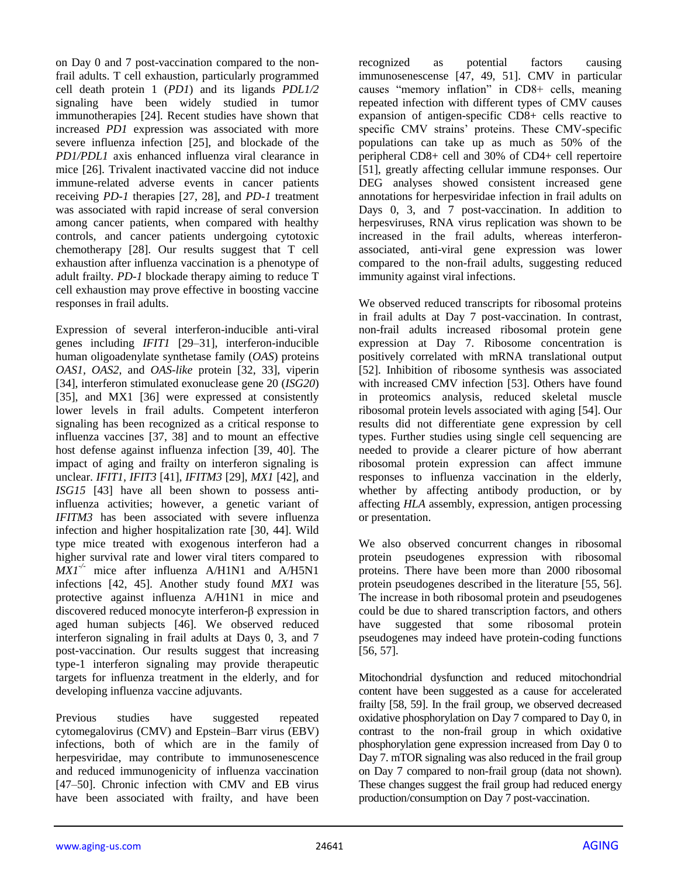on Day 0 and 7 post-vaccination compared to the nonfrail adults. T cell exhaustion, particularly programmed cell death protein 1 (*PD1*) and its ligands *PDL1/2* signaling have been widely studied in tumor immunotherapies [24]. Recent studies have shown that increased *PD1* expression was associated with more severe influenza infection [25], and blockade of the *PD1/PDL1* axis enhanced influenza viral clearance in mice [26]. Trivalent inactivated vaccine did not induce immune-related adverse events in cancer patients receiving *PD-1* therapies [27, 28], and *PD-1* treatment was associated with rapid increase of seral conversion among cancer patients, when compared with healthy controls, and cancer patients undergoing cytotoxic chemotherapy [28]. Our results suggest that T cell exhaustion after influenza vaccination is a phenotype of adult frailty. *PD-1* blockade therapy aiming to reduce T cell exhaustion may prove effective in boosting vaccine responses in frail adults.

Expression of several interferon-inducible anti-viral genes including *IFIT1* [29–31], interferon-inducible human oligoadenylate synthetase family (*OAS*) proteins *OAS1, OAS2*, and *OAS-like* protein [32, 33], viperin [34], interferon stimulated exonuclease gene 20 (*ISG20*) [35], and MX1 [36] were expressed at consistently lower levels in frail adults. Competent interferon signaling has been recognized as a critical response to influenza vaccines [37, 38] and to mount an effective host defense against influenza infection [39, 40]. The impact of aging and frailty on interferon signaling is unclear. *IFIT1, IFIT3* [41], *IFITM3* [29], *MX1* [42], and *ISG15* [43] have all been shown to possess antiinfluenza activities; however, a genetic variant of *IFITM3* has been associated with severe influenza infection and higher hospitalization rate [30, 44]. Wild type mice treated with exogenous interferon had a higher survival rate and lower viral titers compared to *MX1-/-* mice after influenza A/H1N1 and A/H5N1 infections [42, 45]. Another study found *MX1* was protective against influenza A/H1N1 in mice and discovered reduced monocyte interferon-β expression in aged human subjects [46]. We observed reduced interferon signaling in frail adults at Days 0, 3, and 7 post-vaccination. Our results suggest that increasing type-1 interferon signaling may provide therapeutic targets for influenza treatment in the elderly, and for developing influenza vaccine adjuvants.

Previous studies have suggested repeated cytomegalovirus (CMV) and Epstein–Barr virus (EBV) infections, both of which are in the family of herpesviridae, may contribute to immunosenescence and reduced immunogenicity of influenza vaccination [47–50]. Chronic infection with CMV and EB virus have been associated with frailty, and have been recognized as potential factors causing immunosenescense [47, 49, 51]. CMV in particular causes "memory inflation" in CD8+ cells, meaning repeated infection with different types of CMV causes expansion of antigen-specific CD8+ cells reactive to specific CMV strains' proteins. These CMV-specific populations can take up as much as 50% of the peripheral CD8+ cell and 30% of CD4+ cell repertoire [51], greatly affecting cellular immune responses. Our DEG analyses showed consistent increased gene annotations for herpesviridae infection in frail adults on Days 0, 3, and 7 post-vaccination. In addition to herpesviruses, RNA virus replication was shown to be increased in the frail adults, whereas interferonassociated, anti-viral gene expression was lower compared to the non-frail adults, suggesting reduced immunity against viral infections.

We observed reduced transcripts for ribosomal proteins in frail adults at Day 7 post-vaccination. In contrast, non-frail adults increased ribosomal protein gene expression at Day 7. Ribosome concentration is positively correlated with mRNA translational output [52]. Inhibition of ribosome synthesis was associated with increased CMV infection [53]. Others have found in proteomics analysis, reduced skeletal muscle ribosomal protein levels associated with aging [54]. Our results did not differentiate gene expression by cell types. Further studies using single cell sequencing are needed to provide a clearer picture of how aberrant ribosomal protein expression can affect immune responses to influenza vaccination in the elderly, whether by affecting antibody production, or by affecting *HLA* assembly, expression, antigen processing or presentation.

We also observed concurrent changes in ribosomal protein pseudogenes expression with ribosomal proteins. There have been more than 2000 ribosomal protein pseudogenes described in the literature [55, 56]. The increase in both ribosomal protein and pseudogenes could be due to shared transcription factors, and others have suggested that some ribosomal protein pseudogenes may indeed have protein-coding functions [56, 57].

Mitochondrial dysfunction and reduced mitochondrial content have been suggested as a cause for accelerated frailty [58, 59]. In the frail group, we observed decreased oxidative phosphorylation on Day 7 compared to Day 0, in contrast to the non-frail group in which oxidative phosphorylation gene expression increased from Day 0 to Day 7. mTOR signaling was also reduced in the frail group on Day 7 compared to non-frail group (data not shown). These changes suggest the frail group had reduced energy production/consumption on Day 7 post-vaccination.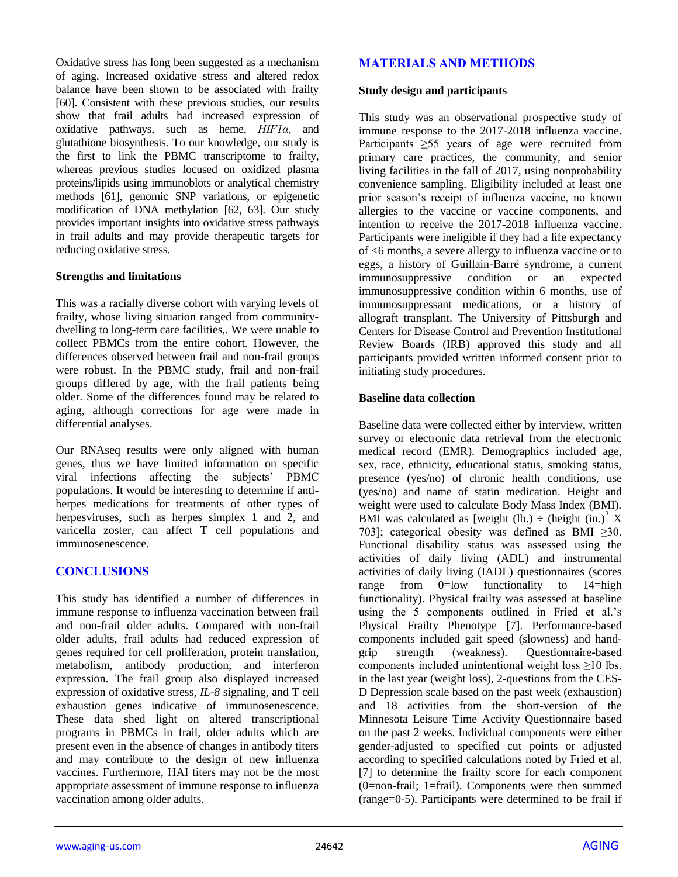Oxidative stress has long been suggested as a mechanism of aging. Increased oxidative stress and altered redox balance have been shown to be associated with frailty [60]. Consistent with these previous studies, our results show that frail adults had increased expression of oxidative pathways, such as heme, *HIF1α*, and glutathione biosynthesis. To our knowledge, our study is the first to link the PBMC transcriptome to frailty, whereas previous studies focused on oxidized plasma proteins/lipids using immunoblots or analytical chemistry methods [61], genomic SNP variations, or epigenetic modification of DNA methylation [62, 63]. Our study provides important insights into oxidative stress pathways in frail adults and may provide therapeutic targets for reducing oxidative stress.

#### **Strengths and limitations**

This was a racially diverse cohort with varying levels of frailty, whose living situation ranged from communitydwelling to long-term care facilities,. We were unable to collect PBMCs from the entire cohort. However, the differences observed between frail and non-frail groups were robust. In the PBMC study, frail and non-frail groups differed by age, with the frail patients being older. Some of the differences found may be related to aging, although corrections for age were made in differential analyses.

Our RNAseq results were only aligned with human genes, thus we have limited information on specific viral infections affecting the subjects' PBMC populations. It would be interesting to determine if antiherpes medications for treatments of other types of herpesviruses, such as herpes simplex 1 and 2, and varicella zoster, can affect T cell populations and immunosenescence.

# **CONCLUSIONS**

This study has identified a number of differences in immune response to influenza vaccination between frail and non-frail older adults. Compared with non-frail older adults, frail adults had reduced expression of genes required for cell proliferation, protein translation, metabolism, antibody production, and interferon expression. The frail group also displayed increased expression of oxidative stress, *IL-8* signaling, and T cell exhaustion genes indicative of immunosenescence. These data shed light on altered transcriptional programs in PBMCs in frail, older adults which are present even in the absence of changes in antibody titers and may contribute to the design of new influenza vaccines. Furthermore, HAI titers may not be the most appropriate assessment of immune response to influenza vaccination among older adults.

# **MATERIALS AND METHODS**

#### **Study design and participants**

This study was an observational prospective study of immune response to the 2017-2018 influenza vaccine. Participants ≥55 years of age were recruited from primary care practices, the community, and senior living facilities in the fall of 2017, using nonprobability convenience sampling. Eligibility included at least one prior season's receipt of influenza vaccine, no known allergies to the vaccine or vaccine components, and intention to receive the 2017-2018 influenza vaccine. Participants were ineligible if they had a life expectancy of <6 months, a severe allergy to influenza vaccine or to eggs, a history of Guillain-Barré syndrome, a current immunosuppressive condition or an expected immunosuppressive condition within 6 months, use of immunosuppressant medications, or a history of allograft transplant. The University of Pittsburgh and Centers for Disease Control and Prevention Institutional Review Boards (IRB) approved this study and all participants provided written informed consent prior to initiating study procedures.

### **Baseline data collection**

Baseline data were collected either by interview, written survey or electronic data retrieval from the electronic medical record (EMR). Demographics included age, sex, race, ethnicity, educational status, smoking status, presence (yes/no) of chronic health conditions, use (yes/no) and name of statin medication. Height and weight were used to calculate Body Mass Index (BMI). BMI was calculated as [weight (lb.)  $\div$  (height (in.)<sup>2</sup> X 703]; categorical obesity was defined as BMI  $\geq 30$ . Functional disability status was assessed using the activities of daily living (ADL) and instrumental activities of daily living (IADL) questionnaires (scores range from 0=low functionality to 14=high range from 0=low functionality to 14=high functionality). Physical frailty was assessed at baseline using the 5 components outlined in Fried et al.'s Physical Frailty Phenotype [7]. Performance-based components included gait speed (slowness) and handgrip strength (weakness). Questionnaire-based components included unintentional weight loss  $\geq$ 10 lbs. in the last year (weight loss), 2-questions from the CES-D Depression scale based on the past week (exhaustion) and 18 activities from the short-version of the Minnesota Leisure Time Activity Questionnaire based on the past 2 weeks. Individual components were either gender-adjusted to specified cut points or adjusted according to specified calculations noted by Fried et al. [7] to determine the frailty score for each component (0=non-frail; 1=frail). Components were then summed (range=0-5). Participants were determined to be frail if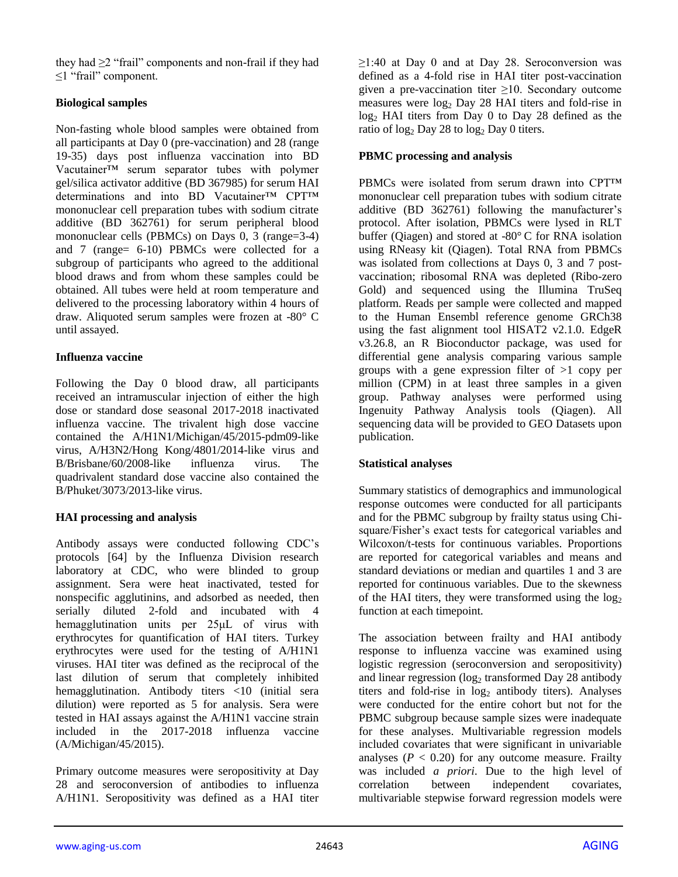they had  $\geq$  "frail" components and non-frail if they had ≤1 "frail" component.

## **Biological samples**

Non-fasting whole blood samples were obtained from all participants at Day 0 (pre-vaccination) and 28 (range 19-35) days post influenza vaccination into BD Vacutainer™ serum separator tubes with polymer gel/silica activator additive (BD 367985) for serum HAI determinations and into BD Vacutainer™ CPT™ mononuclear cell preparation tubes with sodium citrate additive (BD 362761) for serum peripheral blood mononuclear cells (PBMCs) on Days 0, 3 (range=3-4) and 7 (range= 6-10) PBMCs were collected for a subgroup of participants who agreed to the additional blood draws and from whom these samples could be obtained. All tubes were held at room temperature and delivered to the processing laboratory within 4 hours of draw. Aliquoted serum samples were frozen at -80° C until assayed.

### **Influenza vaccine**

Following the Day 0 blood draw, all participants received an intramuscular injection of either the high dose or standard dose seasonal 2017-2018 inactivated influenza vaccine. The trivalent high dose vaccine contained the A/H1N1/Michigan/45/2015-pdm09-like virus, A/H3N2/Hong Kong/4801/2014-like virus and B/Brisbane/60/2008-like influenza virus. The quadrivalent standard dose vaccine also contained the B/Phuket/3073/2013-like virus.

# **HAI processing and analysis**

Antibody assays were conducted following CDC's protocols [64] by the Influenza Division research laboratory at CDC, who were blinded to group assignment. Sera were heat inactivated, tested for nonspecific agglutinins, and adsorbed as needed, then serially diluted 2-fold and incubated with 4 hemagglutination units per 25μL of virus with erythrocytes for quantification of HAI titers. Turkey erythrocytes were used for the testing of A/H1N1 viruses. HAI titer was defined as the reciprocal of the last dilution of serum that completely inhibited hemagglutination. Antibody titers <10 (initial sera dilution) were reported as 5 for analysis. Sera were tested in HAI assays against the A/H1N1 vaccine strain included in the 2017-2018 influenza vaccine (A/Michigan/45/2015).

Primary outcome measures were seropositivity at Day 28 and seroconversion of antibodies to influenza A/H1N1. Seropositivity was defined as a HAI titer  $\geq$ 1:40 at Day 0 and at Day 28. Seroconversion was defined as a 4-fold rise in HAI titer post-vaccination given a pre-vaccination titer  $\geq 10$ . Secondary outcome measures were  $log_2$  Day 28 HAI titers and fold-rise in log<sub>2</sub> HAI titers from Day 0 to Day 28 defined as the ratio of  $log_2$  Day 28 to  $log_2$  Day 0 titers.

### **PBMC processing and analysis**

PBMCs were isolated from serum drawn into CPT™ mononuclear cell preparation tubes with sodium citrate additive (BD 362761) following the manufacturer's protocol. After isolation, PBMCs were lysed in RLT buffer (Qiagen) and stored at -80° C for RNA isolation using RNeasy kit (Qiagen). Total RNA from PBMCs was isolated from collections at Days 0, 3 and 7 postvaccination; ribosomal RNA was depleted (Ribo-zero Gold) and sequenced using the Illumina TruSeq platform. Reads per sample were collected and mapped to the Human Ensembl reference genome GRCh38 using the fast alignment tool HISAT2 v2.1.0. EdgeR v3.26.8, an R Bioconductor package, was used for differential gene analysis comparing various sample groups with a gene expression filter of >1 copy per million (CPM) in at least three samples in a given group. Pathway analyses were performed using Ingenuity Pathway Analysis tools (Qiagen). All sequencing data will be provided to GEO Datasets upon publication.

# **Statistical analyses**

Summary statistics of demographics and immunological response outcomes were conducted for all participants and for the PBMC subgroup by frailty status using Chisquare/Fisher's exact tests for categorical variables and Wilcoxon/t-tests for continuous variables. Proportions are reported for categorical variables and means and standard deviations or median and quartiles 1 and 3 are reported for continuous variables. Due to the skewness of the HAI titers, they were transformed using the  $log<sub>2</sub>$ function at each timepoint.

The association between frailty and HAI antibody response to influenza vaccine was examined using logistic regression (seroconversion and seropositivity) and linear regression  $(\log_2$  transformed Day 28 antibody titers and fold-rise in  $log<sub>2</sub>$  antibody titers). Analyses were conducted for the entire cohort but not for the PBMC subgroup because sample sizes were inadequate for these analyses. Multivariable regression models included covariates that were significant in univariable analyses  $(P < 0.20)$  for any outcome measure. Frailty was included *a priori*. Due to the high level of correlation between independent covariates, multivariable stepwise forward regression models were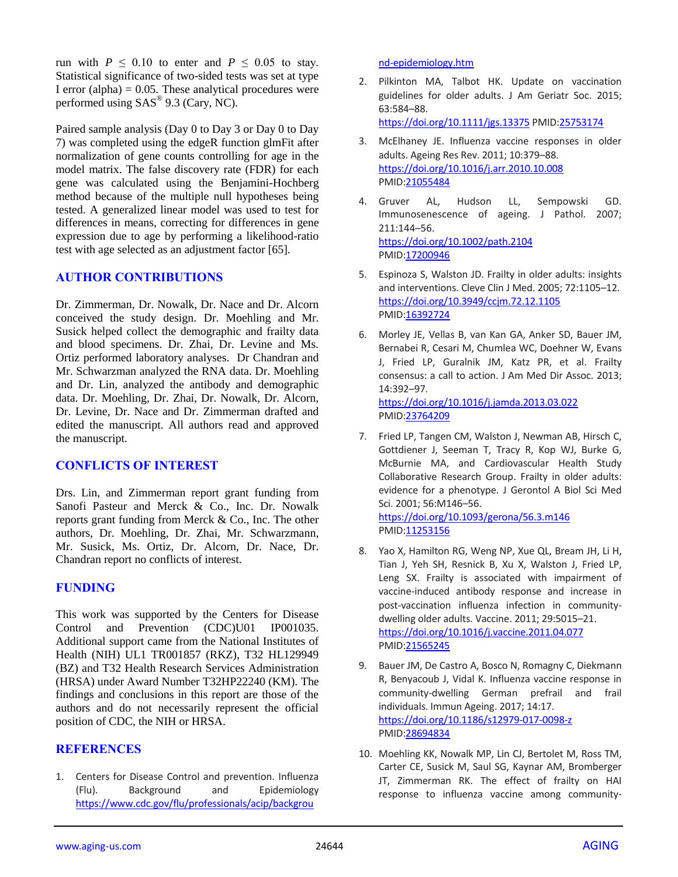run with  $P \le 0.10$  to enter and  $P \le 0.05$  to stay. Statistical significance of two-sided tests was set at type I error (alpha)  $= 0.05$ . These analytical procedures were performed using SAS<sup>®</sup> 9.3 (Cary, NC).

Paired sample analysis (Day 0 to Day 3 or Day 0 to Day 7) was completed using the edgeR function glmFit after normalization of gene counts controlling for age in the model matrix. The false discovery rate (FDR) for each gene was calculated using the Benjamini-Hochberg method because of the multiple null hypotheses being tested. A generalized linear model was used to test for differences in means, correcting for differences in gene expression due to age by performing a likelihood-ratio test with age selected as an adjustment factor [65].

### **AUTHOR CONTRIBUTIONS**

Dr. Zimmerman, Dr. Nowalk, Dr. Nace and Dr. Alcorn conceived the study design. Dr. Moehling and Mr. Susick helped collect the demographic and frailty data and blood specimens. Dr. Zhai, Dr. Levine and Ms. Ortiz performed laboratory analyses. Dr Chandran and Mr. Schwarzman analyzed the RNA data. Dr. Moehling and Dr. Lin, analyzed the antibody and demographic data. Dr. Moehling, Dr. Zhai, Dr. Nowalk, Dr. Alcorn, Dr. Levine, Dr. Nace and Dr. Zimmerman drafted and edited the manuscript. All authors read and approved the manuscript.

# **CONFLICTS OF INTEREST**

Drs. Lin, and Zimmerman report grant funding from Sanofi Pasteur and Merck & Co., Inc. Dr. Nowalk reports grant funding from Merck & Co., Inc. The other authors, Dr. Moehling, Dr. Zhai, Mr. Schwarzmann, Mr. Susick, Ms. Ortiz, Dr. Alcorn, Dr. Nace, Dr. Chandran report no conflicts of interest.

# **FUNDING**

This work was supported by the Centers for Disease Control and Prevention (CDC)U01 IP001035. Additional support came from the National Institutes of Health (NIH) UL1 TR001857 (RKZ), T32 HL129949 (BZ) and T32 Health Research Services Administration (HRSA) under Award Number T32HP22240 (KM). The findings and conclusions in this report are those of the authors and do not necessarily represent the official position of CDC, the NIH or HRSA.

#### **REFERENCES**

1. Centers for Disease Control and prevention. Influenza (Flu). Background and Epidemiology [https://www.cdc.gov/flu/professionals/acip/backgrou](https://www.cdc.gov/flu/professionals/acip/background-epidemiology.htm)

[nd-epidemiology.htm](https://www.cdc.gov/flu/professionals/acip/background-epidemiology.htm)

2. Pilkinton MA, Talbot HK. Update on vaccination guidelines for older adults. J Am Geriatr Soc. 2015; 63:584–88.

<https://doi.org/10.1111/jgs.13375> PMID[:25753174](https://pubmed.ncbi.nlm.nih.gov/25753174)

- 3. McElhaney JE. Influenza vaccine responses in older adults. Ageing Res Rev. 2011; 10:379–88. <https://doi.org/10.1016/j.arr.2010.10.008> PMI[D:21055484](https://pubmed.ncbi.nlm.nih.gov/21055484)
- 4. Gruver AL, Hudson LL, Sempowski GD. Immunosenescence of ageing. J Pathol. 2007; 211:144–56. <https://doi.org/10.1002/path.2104> PMI[D:17200946](https://pubmed.ncbi.nlm.nih.gov/17200946)
- 5. Espinoza S, Walston JD. Frailty in older adults: insights and interventions. Cleve Clin J Med. 2005; 72:1105–12. <https://doi.org/10.3949/ccjm.72.12.1105> PMI[D:16392724](https://pubmed.ncbi.nlm.nih.gov/16392724)
- 6. Morley JE, Vellas B, van Kan GA, Anker SD, Bauer JM, Bernabei R, Cesari M, Chumlea WC, Doehner W, Evans J, Fried LP, Guralnik JM, Katz PR, et al. Frailty consensus: a call to action. J Am Med Dir Assoc. 2013; 14:392–97. <https://doi.org/10.1016/j.jamda.2013.03.022>

PMI[D:23764209](https://pubmed.ncbi.nlm.nih.gov/23764209)

7. Fried LP, Tangen CM, Walston J, Newman AB, Hirsch C, Gottdiener J, Seeman T, Tracy R, Kop WJ, Burke G, McBurnie MA, and Cardiovascular Health Study Collaborative Research Group. Frailty in older adults: evidence for a phenotype. J Gerontol A Biol Sci Med Sci. 2001; 56:M146–56. <https://doi.org/10.1093/gerona/56.3.m146>

PMI[D:11253156](https://pubmed.ncbi.nlm.nih.gov/11253156)

- 8. Yao X, Hamilton RG, Weng NP, Xue QL, Bream JH, Li H, Tian J, Yeh SH, Resnick B, Xu X, Walston J, Fried LP, Leng SX. Frailty is associated with impairment of vaccine-induced antibody response and increase in post-vaccination influenza infection in communitydwelling older adults. Vaccine. 2011; 29:5015–21. <https://doi.org/10.1016/j.vaccine.2011.04.077> PMI[D:21565245](https://pubmed.ncbi.nlm.nih.gov/21565245)
- 9. Bauer JM, De Castro A, Bosco N, Romagny C, Diekmann R, Benyacoub J, Vidal K. Influenza vaccine response in community-dwelling German prefrail and frail individuals. Immun Ageing. 2017; 14:17. <https://doi.org/10.1186/s12979-017-0098-z> PMI[D:28694834](https://pubmed.ncbi.nlm.nih.gov/28694834)
- 10. Moehling KK, Nowalk MP, Lin CJ, Bertolet M, Ross TM, Carter CE, Susick M, Saul SG, Kaynar AM, Bromberger JT, Zimmerman RK. The effect of frailty on HAI response to influenza vaccine among community-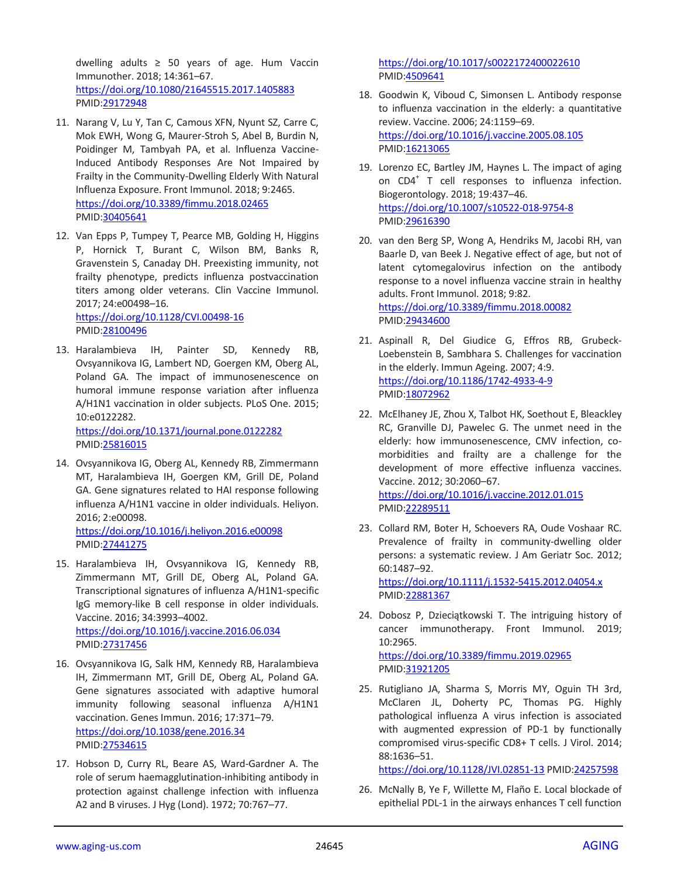dwelling adults ≥ 50 years of age. Hum Vaccin Immunother. 2018; 14:361–67. <https://doi.org/10.1080/21645515.2017.1405883> PMID[:29172948](https://pubmed.ncbi.nlm.nih.gov/29172948)

- 11. Narang V, Lu Y, Tan C, Camous XFN, Nyunt SZ, Carre C, Mok EWH, Wong G, Maurer-Stroh S, Abel B, Burdin N, Poidinger M, Tambyah PA, et al. Influenza Vaccine-Induced Antibody Responses Are Not Impaired by Frailty in the Community-Dwelling Elderly With Natural Influenza Exposure. Front Immunol. 2018; 9:2465. <https://doi.org/10.3389/fimmu.2018.02465> PMID[:30405641](https://pubmed.ncbi.nlm.nih.gov/30405641)
- 12. Van Epps P, Tumpey T, Pearce MB, Golding H, Higgins P, Hornick T, Burant C, Wilson BM, Banks R, Gravenstein S, Canaday DH. Preexisting immunity, not frailty phenotype, predicts influenza postvaccination titers among older veterans. Clin Vaccine Immunol. 2017; 24:e00498–16.

<https://doi.org/10.1128/CVI.00498-16> PMID[:28100496](https://pubmed.ncbi.nlm.nih.gov/28100496)

13. Haralambieva IH, Painter SD, Kennedy RB, Ovsyannikova IG, Lambert ND, Goergen KM, Oberg AL, Poland GA. The impact of immunosenescence on humoral immune response variation after influenza A/H1N1 vaccination in older subjects. PLoS One. 2015; 10:e0122282.

<https://doi.org/10.1371/journal.pone.0122282> PMID[:25816015](https://pubmed.ncbi.nlm.nih.gov/25816015)

14. Ovsyannikova IG, Oberg AL, Kennedy RB, Zimmermann MT, Haralambieva IH, Goergen KM, Grill DE, Poland GA. Gene signatures related to HAI response following influenza A/H1N1 vaccine in older individuals. Heliyon. 2016; 2:e00098.

<https://doi.org/10.1016/j.heliyon.2016.e00098> PMID[:27441275](https://pubmed.ncbi.nlm.nih.gov/27441275)

- 15. Haralambieva IH, Ovsyannikova IG, Kennedy RB, Zimmermann MT, Grill DE, Oberg AL, Poland GA. Transcriptional signatures of influenza A/H1N1-specific IgG memory-like B cell response in older individuals. Vaccine. 2016; 34:3993–4002. <https://doi.org/10.1016/j.vaccine.2016.06.034> PMID[:27317456](https://pubmed.ncbi.nlm.nih.gov/27317456)
- 16. Ovsyannikova IG, Salk HM, Kennedy RB, Haralambieva IH, Zimmermann MT, Grill DE, Oberg AL, Poland GA. Gene signatures associated with adaptive humoral immunity following seasonal influenza A/H1N1 vaccination. Genes Immun. 2016; 17:371–79. <https://doi.org/10.1038/gene.2016.34> PMID[:27534615](https://pubmed.ncbi.nlm.nih.gov/27534615)
- 17. Hobson D, Curry RL, Beare AS, Ward-Gardner A. The role of serum haemagglutination-inhibiting antibody in protection against challenge infection with influenza A2 and B viruses. J Hyg (Lond). 1972; 70:767–77.

<https://doi.org/10.1017/s0022172400022610> PMI[D:4509641](https://pubmed.ncbi.nlm.nih.gov/4509641)

- 18. Goodwin K, Viboud C, Simonsen L. Antibody response to influenza vaccination in the elderly: a quantitative review. Vaccine. 2006; 24:1159–69. <https://doi.org/10.1016/j.vaccine.2005.08.105> PMI[D:16213065](https://pubmed.ncbi.nlm.nih.gov/16213065)
- 19. Lorenzo EC, Bartley JM, Haynes L. The impact of aging on CD4<sup>+</sup> T cell responses to influenza infection. Biogerontology. 2018; 19:437–46. <https://doi.org/10.1007/s10522-018-9754-8> PMI[D:29616390](https://pubmed.ncbi.nlm.nih.gov/29616390)
- 20. van den Berg SP, Wong A, Hendriks M, Jacobi RH, van Baarle D, van Beek J. Negative effect of age, but not of latent cytomegalovirus infection on the antibody response to a novel influenza vaccine strain in healthy adults. Front Immunol. 2018; 9:82. <https://doi.org/10.3389/fimmu.2018.00082> PMI[D:29434600](https://pubmed.ncbi.nlm.nih.gov/29434600)
- 21. Aspinall R, Del Giudice G, Effros RB, Grubeck-Loebenstein B, Sambhara S. Challenges for vaccination in the elderly. Immun Ageing. 2007; 4:9. <https://doi.org/10.1186/1742-4933-4-9> PMI[D:18072962](https://pubmed.ncbi.nlm.nih.gov/18072962)
- 22. McElhaney JE, Zhou X, Talbot HK, Soethout E, Bleackley RC, Granville DJ, Pawelec G. The unmet need in the elderly: how immunosenescence, CMV infection, comorbidities and frailty are a challenge for the development of more effective influenza vaccines. Vaccine. 2012; 30:2060–67. <https://doi.org/10.1016/j.vaccine.2012.01.015> PMI[D:22289511](https://pubmed.ncbi.nlm.nih.gov/22289511)
- 23. Collard RM, Boter H, Schoevers RA, Oude Voshaar RC. Prevalence of frailty in community-dwelling older persons: a systematic review. J Am Geriatr Soc. 2012; 60:1487–92. <https://doi.org/10.1111/j.1532-5415.2012.04054.x> PMI[D:22881367](https://pubmed.ncbi.nlm.nih.gov/22881367)

24. Dobosz P, Dzieciątkowski T. The intriguing history of cancer immunotherapy. Front Immunol. 2019; 10:2965. <https://doi.org/10.3389/fimmu.2019.02965>

PMI[D:31921205](https://pubmed.ncbi.nlm.nih.gov/31921205)

25. Rutigliano JA, Sharma S, Morris MY, Oguin TH 3rd, McClaren JL, Doherty PC, Thomas PG. Highly pathological influenza A virus infection is associated with augmented expression of PD-1 by functionally compromised virus-specific CD8+ T cells. J Virol. 2014; 88:1636–51.

<https://doi.org/10.1128/JVI.02851-13> PMI[D:24257598](https://pubmed.ncbi.nlm.nih.gov/24257598)

26. McNally B, Ye F, Willette M, Flaño E. Local blockade of epithelial PDL-1 in the airways enhances T cell function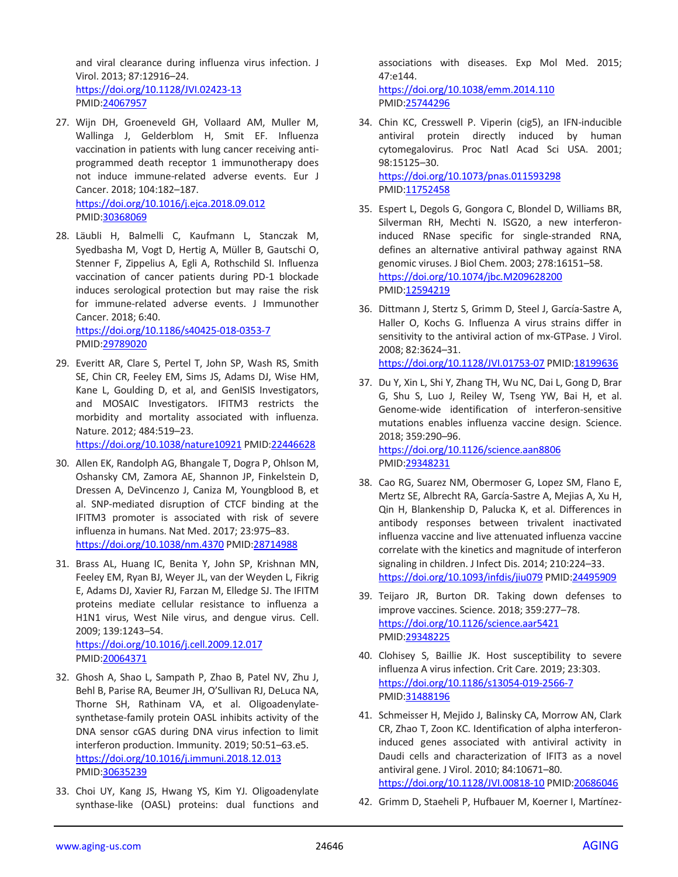and viral clearance during influenza virus infection. J Virol. 2013; 87:12916–24. <https://doi.org/10.1128/JVI.02423-13> PMID[:24067957](https://pubmed.ncbi.nlm.nih.gov/24067957)

- 27. Wijn DH, Groeneveld GH, Vollaard AM, Muller M, Wallinga J, Gelderblom H, Smit EF. Influenza vaccination in patients with lung cancer receiving antiprogrammed death receptor 1 immunotherapy does not induce immune-related adverse events. Eur J Cancer. 2018; 104:182–187. <https://doi.org/10.1016/j.ejca.2018.09.012> PMID[:30368069](https://pubmed.ncbi.nlm.nih.gov/30368069)
- 28. Läubli H, Balmelli C, Kaufmann L, Stanczak M, Syedbasha M, Vogt D, Hertig A, Müller B, Gautschi O, Stenner F, Zippelius A, Egli A, Rothschild SI. Influenza vaccination of cancer patients during PD-1 blockade induces serological protection but may raise the risk for immune-related adverse events. J Immunother Cancer. 2018; 6:40. <https://doi.org/10.1186/s40425-018-0353-7>

PMID[:29789020](https://pubmed.ncbi.nlm.nih.gov/29789020)

29. Everitt AR, Clare S, Pertel T, John SP, Wash RS, Smith SE, Chin CR, Feeley EM, Sims JS, Adams DJ, Wise HM, Kane L, Goulding D, et al, and GenISIS Investigators, and MOSAIC Investigators. IFITM3 restricts the morbidity and mortality associated with influenza. Nature. 2012; 484:519–23.

<https://doi.org/10.1038/nature10921> PMID[:22446628](https://pubmed.ncbi.nlm.nih.gov/22446628)

- 30. Allen EK, Randolph AG, Bhangale T, Dogra P, Ohlson M, Oshansky CM, Zamora AE, Shannon JP, Finkelstein D, Dressen A, DeVincenzo J, Caniza M, Youngblood B, et al. SNP-mediated disruption of CTCF binding at the IFITM3 promoter is associated with risk of severe influenza in humans. Nat Med. 2017; 23:975–83. <https://doi.org/10.1038/nm.4370> PMID[:28714988](https://pubmed.ncbi.nlm.nih.gov/28714988)
- 31. Brass AL, Huang IC, Benita Y, John SP, Krishnan MN, Feeley EM, Ryan BJ, Weyer JL, van der Weyden L, Fikrig E, Adams DJ, Xavier RJ, Farzan M, Elledge SJ. The IFITM proteins mediate cellular resistance to influenza a H1N1 virus, West Nile virus, and dengue virus. Cell. 2009; 139:1243–54.

<https://doi.org/10.1016/j.cell.2009.12.017> PMID[:20064371](https://pubmed.ncbi.nlm.nih.gov/20064371)

- 32. Ghosh A, Shao L, Sampath P, Zhao B, Patel NV, Zhu J, Behl B, Parise RA, Beumer JH, O'Sullivan RJ, DeLuca NA, Thorne SH, Rathinam VA, et al. Oligoadenylatesynthetase-family protein OASL inhibits activity of the DNA sensor cGAS during DNA virus infection to limit interferon production. Immunity. 2019; 50:51–63.e5. <https://doi.org/10.1016/j.immuni.2018.12.013> PMID[:30635239](https://pubmed.ncbi.nlm.nih.gov/30635239)
- 33. Choi UY, Kang JS, Hwang YS, Kim YJ. Oligoadenylate synthase-like (OASL) proteins: dual functions and

associations with diseases. Exp Mol Med. 2015; 47:e144.

<https://doi.org/10.1038/emm.2014.110> PMI[D:25744296](https://pubmed.ncbi.nlm.nih.gov/25744296)

- 34. Chin KC, Cresswell P. Viperin (cig5), an IFN-inducible antiviral protein directly induced by human cytomegalovirus. Proc Natl Acad Sci USA. 2001; 98:15125–30. <https://doi.org/10.1073/pnas.011593298> PMI[D:11752458](https://pubmed.ncbi.nlm.nih.gov/11752458)
- 35. Espert L, Degols G, Gongora C, Blondel D, Williams BR, Silverman RH, Mechti N. ISG20, a new interferoninduced RNase specific for single-stranded RNA, defines an alternative antiviral pathway against RNA genomic viruses. J Biol Chem. 2003; 278:16151–58. <https://doi.org/10.1074/jbc.M209628200> PMI[D:12594219](https://pubmed.ncbi.nlm.nih.gov/12594219)
- 36. Dittmann J, Stertz S, Grimm D, Steel J, García-Sastre A, Haller O, Kochs G. Influenza A virus strains differ in sensitivity to the antiviral action of mx-GTPase. J Virol. 2008; 82:3624–31. <https://doi.org/10.1128/JVI.01753-07> PMI[D:18199636](https://pubmed.ncbi.nlm.nih.gov/18199636)
- 37. Du Y, Xin L, Shi Y, Zhang TH, Wu NC, Dai L, Gong D, Brar G, Shu S, Luo J, Reiley W, Tseng YW, Bai H, et al. Genome-wide identification of interferon-sensitive mutations enables influenza vaccine design. Science. 2018; 359:290–96. <https://doi.org/10.1126/science.aan8806> PMI[D:29348231](https://pubmed.ncbi.nlm.nih.gov/29348231)
- 38. Cao RG, Suarez NM, Obermoser G, Lopez SM, Flano E, Mertz SE, Albrecht RA, García-Sastre A, Mejias A, Xu H, Qin H, Blankenship D, Palucka K, et al. Differences in antibody responses between trivalent inactivated influenza vaccine and live attenuated influenza vaccine correlate with the kinetics and magnitude of interferon signaling in children. J Infect Dis. 2014; 210:224–33. <https://doi.org/10.1093/infdis/jiu079> PMID[:24495909](https://pubmed.ncbi.nlm.nih.gov/24495909)
- 39. Teijaro JR, Burton DR. Taking down defenses to improve vaccines. Science. 2018; 359:277–78. <https://doi.org/10.1126/science.aar5421> PMI[D:29348225](https://pubmed.ncbi.nlm.nih.gov/29348225)
- 40. Clohisey S, Baillie JK. Host susceptibility to severe influenza A virus infection. Crit Care. 2019; 23:303. <https://doi.org/10.1186/s13054-019-2566-7> PMI[D:31488196](https://pubmed.ncbi.nlm.nih.gov/31488196)
- 41. Schmeisser H, Mejido J, Balinsky CA, Morrow AN, Clark CR, Zhao T, Zoon KC. Identification of alpha interferoninduced genes associated with antiviral activity in Daudi cells and characterization of IFIT3 as a novel antiviral gene. J Virol. 2010; 84:10671–80. <https://doi.org/10.1128/JVI.00818-10> PMI[D:20686046](https://pubmed.ncbi.nlm.nih.gov/20686046)
- 42. Grimm D, Staeheli P, Hufbauer M, Koerner I, Martínez-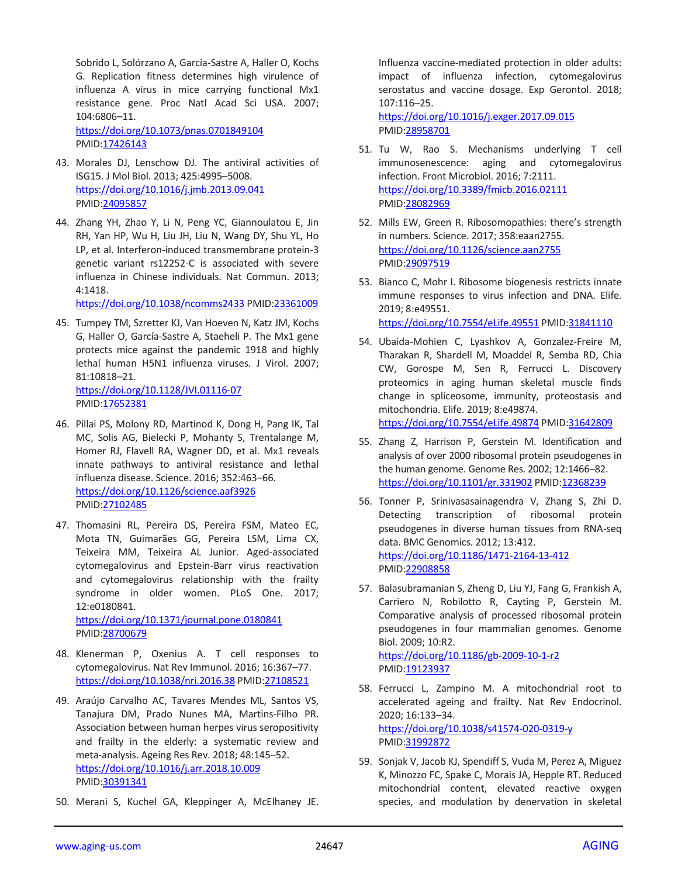Sobrido L, Solórzano A, García-Sastre A, Haller O, Kochs G. Replication fitness determines high virulence of influenza A virus in mice carrying functional Mx1 resistance gene. Proc Natl Acad Sci USA. 2007; 104:6806–11. <https://doi.org/10.1073/pnas.0701849104>

PMID[:17426143](https://pubmed.ncbi.nlm.nih.gov/17426143)

- 43. Morales DJ, Lenschow DJ. The antiviral activities of ISG15. J Mol Biol. 2013; 425:4995–5008. <https://doi.org/10.1016/j.jmb.2013.09.041> PMID[:24095857](https://pubmed.ncbi.nlm.nih.gov/24095857)
- 44. Zhang YH, Zhao Y, Li N, Peng YC, Giannoulatou E, Jin RH, Yan HP, Wu H, Liu JH, Liu N, Wang DY, Shu YL, Ho LP, et al. Interferon-induced transmembrane protein-3 genetic variant rs12252-C is associated with severe influenza in Chinese individuals. Nat Commun. 2013; 4:1418.

<https://doi.org/10.1038/ncomms2433> PMI[D:23361009](https://pubmed.ncbi.nlm.nih.gov/23361009)

45. Tumpey TM, Szretter KJ, Van Hoeven N, Katz JM, Kochs G, Haller O, García-Sastre A, Staeheli P. The Mx1 gene protects mice against the pandemic 1918 and highly lethal human H5N1 influenza viruses. J Virol. 2007; 81:10818–21. <https://doi.org/10.1128/JVI.01116-07>

PMID[:17652381](https://pubmed.ncbi.nlm.nih.gov/17652381)

- 46. Pillai PS, Molony RD, Martinod K, Dong H, Pang IK, Tal MC, Solis AG, Bielecki P, Mohanty S, Trentalange M, Homer RJ, Flavell RA, Wagner DD, et al. Mx1 reveals innate pathways to antiviral resistance and lethal influenza disease. Science. 2016; 352:463–66. <https://doi.org/10.1126/science.aaf3926> PMID[:27102485](https://pubmed.ncbi.nlm.nih.gov/27102485)
- 47. Thomasini RL, Pereira DS, Pereira FSM, Mateo EC, Mota TN, Guimarães GG, Pereira LSM, Lima CX, Teixeira MM, Teixeira AL Junior. Aged-associated cytomegalovirus and Epstein-Barr virus reactivation and cytomegalovirus relationship with the frailty syndrome in older women. PLoS One. 2017; 12:e0180841. <https://doi.org/10.1371/journal.pone.0180841>

PMID[:28700679](https://pubmed.ncbi.nlm.nih.gov/28700679)

- 48. Klenerman P, Oxenius A. T cell responses to cytomegalovirus. Nat Rev Immunol. 2016; 16:367–77. <https://doi.org/10.1038/nri.2016.38> PMID[:27108521](https://pubmed.ncbi.nlm.nih.gov/27108521)
- 49. Araújo Carvalho AC, Tavares Mendes ML, Santos VS, Tanajura DM, Prado Nunes MA, Martins-Filho PR. Association between human herpes virus seropositivity and frailty in the elderly: a systematic review and meta-analysis. Ageing Res Rev. 2018; 48:145–52. <https://doi.org/10.1016/j.arr.2018.10.009> PMID[:30391341](https://pubmed.ncbi.nlm.nih.gov/30391341)
- 50. Merani S, Kuchel GA, Kleppinger A, McElhaney JE.

Influenza vaccine-mediated protection in older adults: impact of influenza infection, cytomegalovirus serostatus and vaccine dosage. Exp Gerontol. 2018; 107:116–25.

<https://doi.org/10.1016/j.exger.2017.09.015> PMI[D:28958701](https://pubmed.ncbi.nlm.nih.gov/28958701)

- 51. Tu W, Rao S. Mechanisms underlying T cell immunosenescence: aging and cytomegalovirus infection. Front Microbiol. 2016; 7:2111. <https://doi.org/10.3389/fmicb.2016.02111> PMI[D:28082969](https://pubmed.ncbi.nlm.nih.gov/28082969)
- 52. Mills EW, Green R. Ribosomopathies: there's strength in numbers. Science. 2017; 358:eaan2755. <https://doi.org/10.1126/science.aan2755> PMI[D:29097519](https://pubmed.ncbi.nlm.nih.gov/29097519)

53. Bianco C, Mohr I. Ribosome biogenesis restricts innate immune responses to virus infection and DNA. Elife. 2019; 8:e49551. <https://doi.org/10.7554/eLife.49551> PMI[D:31841110](https://pubmed.ncbi.nlm.nih.gov/31841110)

- 54. Ubaida-Mohien C, Lyashkov A, Gonzalez-Freire M, Tharakan R, Shardell M, Moaddel R, Semba RD, Chia CW, Gorospe M, Sen R, Ferrucci L. Discovery proteomics in aging human skeletal muscle finds change in spliceosome, immunity, proteostasis and mitochondria. Elife. 2019; 8:e49874. <https://doi.org/10.7554/eLife.49874> PMI[D:31642809](https://pubmed.ncbi.nlm.nih.gov/31642809)
- 55. Zhang Z, Harrison P, Gerstein M. Identification and analysis of over 2000 ribosomal protein pseudogenes in the human genome. Genome Res. 2002; 12:1466–82. <https://doi.org/10.1101/gr.331902> PMI[D:12368239](https://pubmed.ncbi.nlm.nih.gov/12368239)
- 56. Tonner P, Srinivasasainagendra V, Zhang S, Zhi D. Detecting transcription of ribosomal protein pseudogenes in diverse human tissues from RNA-seq data. BMC Genomics. 2012; 13:412. <https://doi.org/10.1186/1471-2164-13-412> PMI[D:22908858](https://pubmed.ncbi.nlm.nih.gov/22908858)
- 57. Balasubramanian S, Zheng D, Liu YJ, Fang G, Frankish A, Carriero N, Robilotto R, Cayting P, Gerstein M. Comparative analysis of processed ribosomal protein pseudogenes in four mammalian genomes. Genome Biol. 2009; 10:R2. <https://doi.org/10.1186/gb-2009-10-1-r2> PMI[D:19123937](https://pubmed.ncbi.nlm.nih.gov/19123937)
- 58. Ferrucci L, Zampino M. A mitochondrial root to accelerated ageing and frailty. Nat Rev Endocrinol. 2020; 16:133–34. <https://doi.org/10.1038/s41574-020-0319-y> PMI[D:31992872](https://pubmed.ncbi.nlm.nih.gov/31992872)
- 59. Sonjak V, Jacob KJ, Spendiff S, Vuda M, Perez A, Miguez K, Minozzo FC, Spake C, Morais JA, Hepple RT. Reduced mitochondrial content, elevated reactive oxygen species, and modulation by denervation in skeletal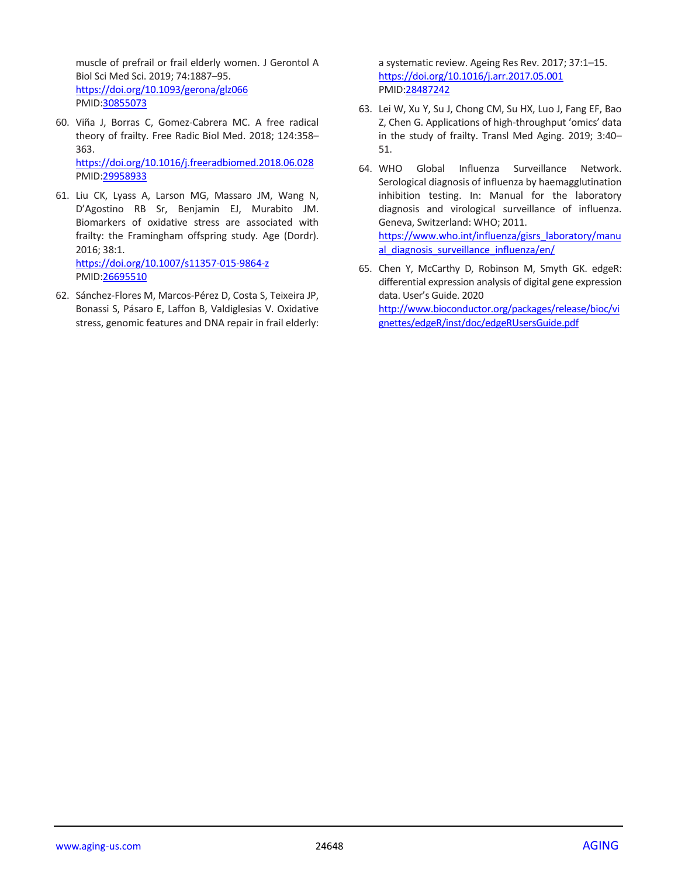muscle of prefrail or frail elderly women. J Gerontol A Biol Sci Med Sci. 2019; 74:1887–95. <https://doi.org/10.1093/gerona/glz066> PMID[:30855073](https://pubmed.ncbi.nlm.nih.gov/30855073)

- 60. Viña J, Borras C, Gomez-Cabrera MC. A free radical theory of frailty. Free Radic Biol Med. 2018; 124:358– 363. <https://doi.org/10.1016/j.freeradbiomed.2018.06.028> PMID[:29958933](https://pubmed.ncbi.nlm.nih.gov/29958933)
- 61. Liu CK, Lyass A, Larson MG, Massaro JM, Wang N, D'Agostino RB Sr, Benjamin EJ, Murabito JM. Biomarkers of oxidative stress are associated with frailty: the Framingham offspring study. Age (Dordr). 2016; 38:1. <https://doi.org/10.1007/s11357-015-9864-z> PMID[:26695510](https://pubmed.ncbi.nlm.nih.gov/26695510)
- 62. Sánchez-Flores M, Marcos-Pérez D, Costa S, Teixeira JP, Bonassi S, Pásaro E, Laffon B, Valdiglesias V. Oxidative stress, genomic features and DNA repair in frail elderly:

a systematic review. Ageing Res Rev. 2017; 37:1–15. <https://doi.org/10.1016/j.arr.2017.05.001> PMI[D:28487242](https://pubmed.ncbi.nlm.nih.gov/28487242)

- 63. Lei W, Xu Y, Su J, Chong CM, Su HX, Luo J, Fang EF, Bao Z, Chen G. Applications of high-throughput 'omics' data in the study of frailty. Transl Med Aging. 2019; 3:40– 51.
- 64. WHO Global Influenza Surveillance Network. Serological diagnosis of influenza by haemagglutination inhibition testing. In: Manual for the laboratory diagnosis and virological surveillance of influenza. Geneva, Switzerland: WHO; 2011. [https://www.who.int/influenza/gisrs\\_laboratory/manu](https://www.who.int/influenza/gisrs_laboratory/manual_diagnosis_surveillance_influenza/en/) al diagnosis surveillance influenza/en/
- 65. Chen Y, McCarthy D, Robinson M, Smyth GK. edgeR: differential expression analysis of digital gene expression data. User's Guide. 2020

[http://www.bioconductor.org/packages/release/bioc/vi](http://www.bioconductor.org/packages/release/bioc/vignettes/edgeR/inst/doc/edgeRUsersGuide.pdf) [gnettes/edgeR/inst/doc/edgeRUsersGuide.pdf](http://www.bioconductor.org/packages/release/bioc/vignettes/edgeR/inst/doc/edgeRUsersGuide.pdf)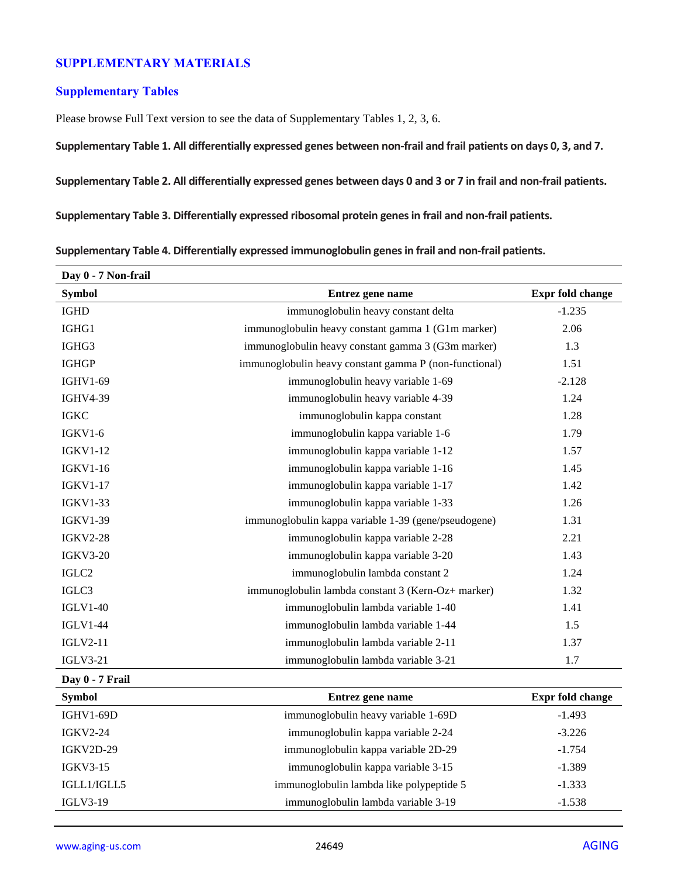# **SUPPLEMENTARY MATERIALS**

#### **Supplementary Tables**

Please browse Full Text version to see the data of Supplementary Tables 1, 2, 3, 6.

**Supplementary Table 1. All differentially expressed genes between non-frail and frail patients on days 0, 3, and 7.**

**Supplementary Table 2. All differentially expressed genes between days 0 and 3 or 7 in frail and non-frail patients.**

**Supplementary Table 3. Differentially expressed ribosomal protein genes in frail and non-frail patients.**

**Supplementary Table 4. Differentially expressed immunoglobulin genes in frail and non-frail patients.**

| Day 0 - 7 Non-frail |                                                        |                  |
|---------------------|--------------------------------------------------------|------------------|
| <b>Symbol</b>       | Entrez gene name                                       | Expr fold change |
| <b>IGHD</b>         | immunoglobulin heavy constant delta                    | $-1.235$         |
| IGHG1               | immunoglobulin heavy constant gamma 1 (G1m marker)     | 2.06             |
| IGHG3               | immunoglobulin heavy constant gamma 3 (G3m marker)     | 1.3              |
| <b>IGHGP</b>        | immunoglobulin heavy constant gamma P (non-functional) | 1.51             |
| <b>IGHV1-69</b>     | immunoglobulin heavy variable 1-69                     | $-2.128$         |
| <b>IGHV4-39</b>     | immunoglobulin heavy variable 4-39                     | 1.24             |
| <b>IGKC</b>         | immunoglobulin kappa constant                          | 1.28             |
| $IGKV1-6$           | immunoglobulin kappa variable 1-6                      | 1.79             |
| <b>IGKV1-12</b>     | immunoglobulin kappa variable 1-12                     | 1.57             |
| <b>IGKV1-16</b>     | immunoglobulin kappa variable 1-16                     | 1.45             |
| <b>IGKV1-17</b>     | immunoglobulin kappa variable 1-17                     | 1.42             |
| <b>IGKV1-33</b>     | immunoglobulin kappa variable 1-33                     | 1.26             |
| <b>IGKV1-39</b>     | immunoglobulin kappa variable 1-39 (gene/pseudogene)   | 1.31             |
| <b>IGKV2-28</b>     | immunoglobulin kappa variable 2-28                     | 2.21             |
| <b>IGKV3-20</b>     | immunoglobulin kappa variable 3-20                     | 1.43             |
| $\rm IGLC2$         | immunoglobulin lambda constant 2                       | 1.24             |
| IGLC3               | immunoglobulin lambda constant 3 (Kern-Oz+ marker)     | 1.32             |
| <b>IGLV1-40</b>     | immunoglobulin lambda variable 1-40                    | 1.41             |
| <b>IGLV1-44</b>     | immunoglobulin lambda variable 1-44                    | 1.5              |
| <b>IGLV2-11</b>     | immunoglobulin lambda variable 2-11                    | 1.37             |
| <b>IGLV3-21</b>     | immunoglobulin lambda variable 3-21                    | 1.7              |
| Day 0 - 7 Frail     |                                                        |                  |
| <b>Symbol</b>       | Entrez gene name                                       | Expr fold change |
| <b>IGHV1-69D</b>    | immunoglobulin heavy variable 1-69D                    | $-1.493$         |
| <b>IGKV2-24</b>     | immunoglobulin kappa variable 2-24                     | $-3.226$         |
| IGKV2D-29           | immunoglobulin kappa variable 2D-29                    | $-1.754$         |
| <b>IGKV3-15</b>     | immunoglobulin kappa variable 3-15                     | $-1.389$         |
| IGLL1/IGLL5         | immunoglobulin lambda like polypeptide 5               | $-1.333$         |
| <b>IGLV3-19</b>     | immunoglobulin lambda variable 3-19                    | $-1.538$         |